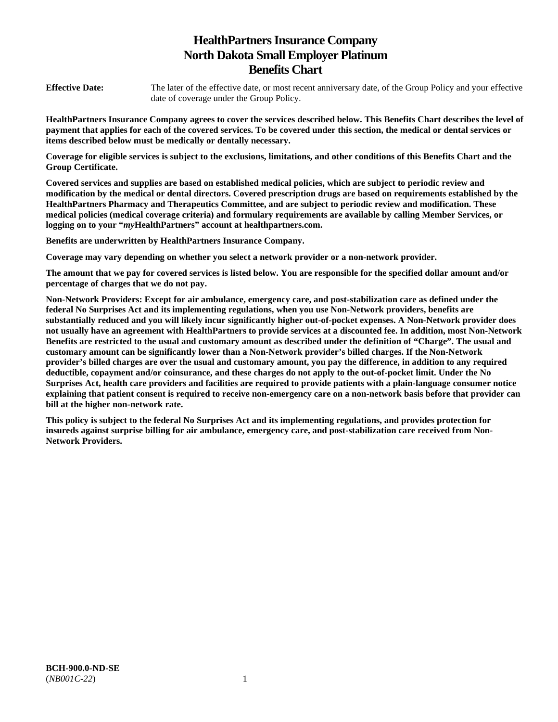# **HealthPartners Insurance Company North Dakota Small Employer Platinum Benefits Chart**

**Effective Date:** The later of the effective date, or most recent anniversary date, of the Group Policy and your effective date of coverage under the Group Policy.

**HealthPartners Insurance Company agrees to cover the services described below. This Benefits Chart describes the level of payment that applies for each of the covered services. To be covered under this section, the medical or dental services or items described below must be medically or dentally necessary.** 

**Coverage for eligible services is subject to the exclusions, limitations, and other conditions of this Benefits Chart and the Group Certificate.** 

**Covered services and supplies are based on established medical policies, which are subject to periodic review and modification by the medical or dental directors. Covered prescription drugs are based on requirements established by the HealthPartners Pharmacy and Therapeutics Committee, and are subject to periodic review and modification. These medical policies (medical coverage criteria) and formulary requirements are available by calling Member Services, or logging on to your "***my***HealthPartners" account at [healthpartners.com.](http://healthpartners.com/)** 

**Benefits are underwritten by HealthPartners Insurance Company.** 

**Coverage may vary depending on whether you select a network provider or a non-network provider.** 

**The amount that we pay for covered services is listed below. You are responsible for the specified dollar amount and/or percentage of charges that we do not pay.** 

**Non-Network Providers: Except for air ambulance, emergency care, and post-stabilization care as defined under the federal No Surprises Act and its implementing regulations, when you use Non-Network providers, benefits are substantially reduced and you will likely incur significantly higher out-of-pocket expenses. A Non-Network provider does not usually have an agreement with HealthPartners to provide services at a discounted fee. In addition, most Non-Network Benefits are restricted to the usual and customary amount as described under the definition of "Charge". The usual and customary amount can be significantly lower than a Non-Network provider's billed charges. If the Non-Network provider's billed charges are over the usual and customary amount, you pay the difference, in addition to any required deductible, copayment and/or coinsurance, and these charges do not apply to the out-of-pocket limit. Under the No Surprises Act, health care providers and facilities are required to provide patients with a plain-language consumer notice explaining that patient consent is required to receive non-emergency care on a non-network basis before that provider can bill at the higher non-network rate.** 

**This policy is subject to the federal No Surprises Act and its implementing regulations, and provides protection for insureds against surprise billing for air ambulance, emergency care, and post-stabilization care received from Non-Network Providers.**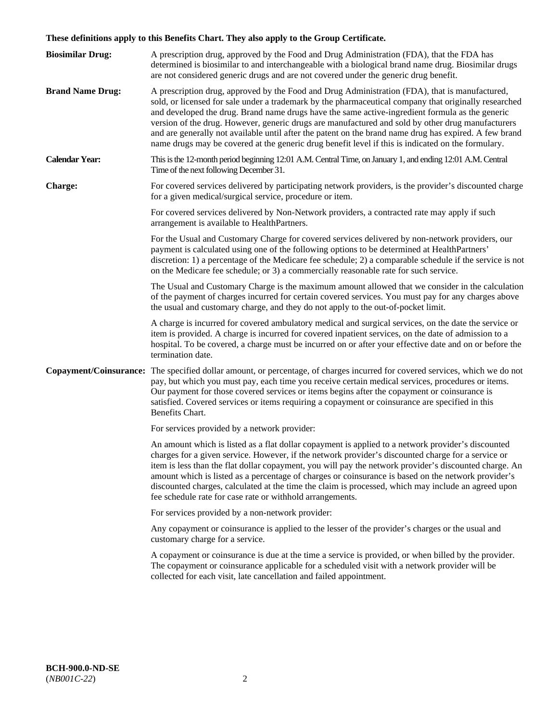# **These definitions apply to this Benefits Chart. They also apply to the Group Certificate.**

| <b>Biosimilar Drug:</b> | A prescription drug, approved by the Food and Drug Administration (FDA), that the FDA has<br>determined is biosimilar to and interchangeable with a biological brand name drug. Biosimilar drugs<br>are not considered generic drugs and are not covered under the generic drug benefit.                                                                                                                                                                                                                                                                                                                                        |
|-------------------------|---------------------------------------------------------------------------------------------------------------------------------------------------------------------------------------------------------------------------------------------------------------------------------------------------------------------------------------------------------------------------------------------------------------------------------------------------------------------------------------------------------------------------------------------------------------------------------------------------------------------------------|
| <b>Brand Name Drug:</b> | A prescription drug, approved by the Food and Drug Administration (FDA), that is manufactured,<br>sold, or licensed for sale under a trademark by the pharmaceutical company that originally researched<br>and developed the drug. Brand name drugs have the same active-ingredient formula as the generic<br>version of the drug. However, generic drugs are manufactured and sold by other drug manufacturers<br>and are generally not available until after the patent on the brand name drug has expired. A few brand<br>name drugs may be covered at the generic drug benefit level if this is indicated on the formulary. |
| <b>Calendar Year:</b>   | This is the 12-month period beginning 12:01 A.M. Central Time, on January 1, and ending 12:01 A.M. Central<br>Time of the next following December 31.                                                                                                                                                                                                                                                                                                                                                                                                                                                                           |
| <b>Charge:</b>          | For covered services delivered by participating network providers, is the provider's discounted charge<br>for a given medical/surgical service, procedure or item.                                                                                                                                                                                                                                                                                                                                                                                                                                                              |
|                         | For covered services delivered by Non-Network providers, a contracted rate may apply if such<br>arrangement is available to HealthPartners.                                                                                                                                                                                                                                                                                                                                                                                                                                                                                     |
|                         | For the Usual and Customary Charge for covered services delivered by non-network providers, our<br>payment is calculated using one of the following options to be determined at HealthPartners'<br>discretion: 1) a percentage of the Medicare fee schedule; 2) a comparable schedule if the service is not<br>on the Medicare fee schedule; or 3) a commercially reasonable rate for such service.                                                                                                                                                                                                                             |
|                         | The Usual and Customary Charge is the maximum amount allowed that we consider in the calculation<br>of the payment of charges incurred for certain covered services. You must pay for any charges above<br>the usual and customary charge, and they do not apply to the out-of-pocket limit.                                                                                                                                                                                                                                                                                                                                    |
|                         | A charge is incurred for covered ambulatory medical and surgical services, on the date the service or<br>item is provided. A charge is incurred for covered inpatient services, on the date of admission to a<br>hospital. To be covered, a charge must be incurred on or after your effective date and on or before the<br>termination date.                                                                                                                                                                                                                                                                                   |
|                         | Copayment/Coinsurance: The specified dollar amount, or percentage, of charges incurred for covered services, which we do not<br>pay, but which you must pay, each time you receive certain medical services, procedures or items.<br>Our payment for those covered services or items begins after the copayment or coinsurance is<br>satisfied. Covered services or items requiring a copayment or coinsurance are specified in this<br>Benefits Chart.                                                                                                                                                                         |
|                         | For services provided by a network provider:                                                                                                                                                                                                                                                                                                                                                                                                                                                                                                                                                                                    |
|                         | An amount which is listed as a flat dollar copayment is applied to a network provider's discounted<br>charges for a given service. However, if the network provider's discounted charge for a service or<br>item is less than the flat dollar copayment, you will pay the network provider's discounted charge. An<br>amount which is listed as a percentage of charges or coinsurance is based on the network provider's<br>discounted charges, calculated at the time the claim is processed, which may include an agreed upon<br>fee schedule rate for case rate or withhold arrangements.                                   |
|                         | For services provided by a non-network provider:                                                                                                                                                                                                                                                                                                                                                                                                                                                                                                                                                                                |
|                         | Any copayment or coinsurance is applied to the lesser of the provider's charges or the usual and<br>customary charge for a service.                                                                                                                                                                                                                                                                                                                                                                                                                                                                                             |
|                         | A copayment or coinsurance is due at the time a service is provided, or when billed by the provider.<br>The copayment or coinsurance applicable for a scheduled visit with a network provider will be<br>collected for each visit, late cancellation and failed appointment.                                                                                                                                                                                                                                                                                                                                                    |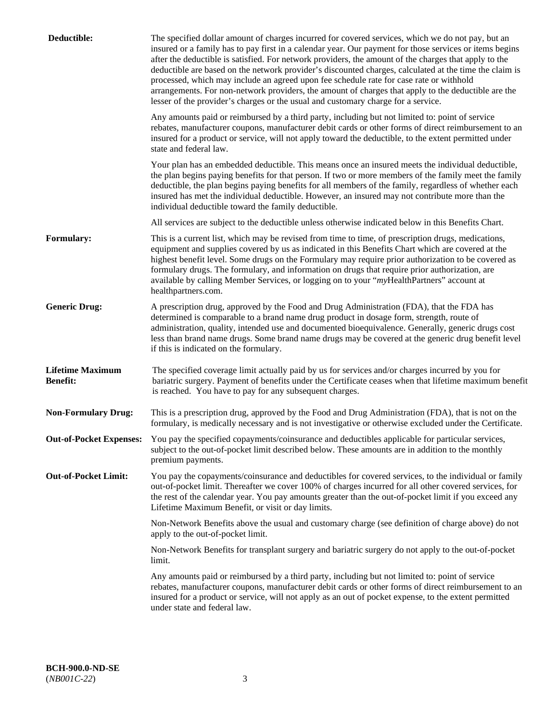| Deductible:                                | The specified dollar amount of charges incurred for covered services, which we do not pay, but an<br>insured or a family has to pay first in a calendar year. Our payment for those services or items begins<br>after the deductible is satisfied. For network providers, the amount of the charges that apply to the<br>deductible are based on the network provider's discounted charges, calculated at the time the claim is<br>processed, which may include an agreed upon fee schedule rate for case rate or withhold<br>arrangements. For non-network providers, the amount of charges that apply to the deductible are the<br>lesser of the provider's charges or the usual and customary charge for a service. |
|--------------------------------------------|------------------------------------------------------------------------------------------------------------------------------------------------------------------------------------------------------------------------------------------------------------------------------------------------------------------------------------------------------------------------------------------------------------------------------------------------------------------------------------------------------------------------------------------------------------------------------------------------------------------------------------------------------------------------------------------------------------------------|
|                                            | Any amounts paid or reimbursed by a third party, including but not limited to: point of service<br>rebates, manufacturer coupons, manufacturer debit cards or other forms of direct reimbursement to an<br>insured for a product or service, will not apply toward the deductible, to the extent permitted under<br>state and federal law.                                                                                                                                                                                                                                                                                                                                                                             |
|                                            | Your plan has an embedded deductible. This means once an insured meets the individual deductible,<br>the plan begins paying benefits for that person. If two or more members of the family meet the family<br>deductible, the plan begins paying benefits for all members of the family, regardless of whether each<br>insured has met the individual deductible. However, an insured may not contribute more than the<br>individual deductible toward the family deductible.                                                                                                                                                                                                                                          |
|                                            | All services are subject to the deductible unless otherwise indicated below in this Benefits Chart.                                                                                                                                                                                                                                                                                                                                                                                                                                                                                                                                                                                                                    |
| <b>Formulary:</b>                          | This is a current list, which may be revised from time to time, of prescription drugs, medications,<br>equipment and supplies covered by us as indicated in this Benefits Chart which are covered at the<br>highest benefit level. Some drugs on the Formulary may require prior authorization to be covered as<br>formulary drugs. The formulary, and information on drugs that require prior authorization, are<br>available by calling Member Services, or logging on to your "myHealthPartners" account at<br>healthpartners.com.                                                                                                                                                                                  |
| <b>Generic Drug:</b>                       | A prescription drug, approved by the Food and Drug Administration (FDA), that the FDA has<br>determined is comparable to a brand name drug product in dosage form, strength, route of<br>administration, quality, intended use and documented bioequivalence. Generally, generic drugs cost<br>less than brand name drugs. Some brand name drugs may be covered at the generic drug benefit level<br>if this is indicated on the formulary.                                                                                                                                                                                                                                                                            |
| <b>Lifetime Maximum</b><br><b>Benefit:</b> | The specified coverage limit actually paid by us for services and/or charges incurred by you for<br>bariatric surgery. Payment of benefits under the Certificate ceases when that lifetime maximum benefit<br>is reached. You have to pay for any subsequent charges.                                                                                                                                                                                                                                                                                                                                                                                                                                                  |
| <b>Non-Formulary Drug:</b>                 | This is a prescription drug, approved by the Food and Drug Administration (FDA), that is not on the<br>formulary, is medically necessary and is not investigative or otherwise excluded under the Certificate.                                                                                                                                                                                                                                                                                                                                                                                                                                                                                                         |
|                                            | Out-of-Pocket Expenses: You pay the specified copayments/coinsurance and deductibles applicable for particular services,<br>subject to the out-of-pocket limit described below. These amounts are in addition to the monthly<br>premium payments.                                                                                                                                                                                                                                                                                                                                                                                                                                                                      |
| <b>Out-of-Pocket Limit:</b>                | You pay the copayments/coinsurance and deductibles for covered services, to the individual or family<br>out-of-pocket limit. Thereafter we cover 100% of charges incurred for all other covered services, for<br>the rest of the calendar year. You pay amounts greater than the out-of-pocket limit if you exceed any<br>Lifetime Maximum Benefit, or visit or day limits.                                                                                                                                                                                                                                                                                                                                            |
|                                            | Non-Network Benefits above the usual and customary charge (see definition of charge above) do not<br>apply to the out-of-pocket limit.                                                                                                                                                                                                                                                                                                                                                                                                                                                                                                                                                                                 |
|                                            | Non-Network Benefits for transplant surgery and bariatric surgery do not apply to the out-of-pocket<br>limit.                                                                                                                                                                                                                                                                                                                                                                                                                                                                                                                                                                                                          |
|                                            | Any amounts paid or reimbursed by a third party, including but not limited to: point of service<br>rebates, manufacturer coupons, manufacturer debit cards or other forms of direct reimbursement to an<br>insured for a product or service, will not apply as an out of pocket expense, to the extent permitted<br>under state and federal law.                                                                                                                                                                                                                                                                                                                                                                       |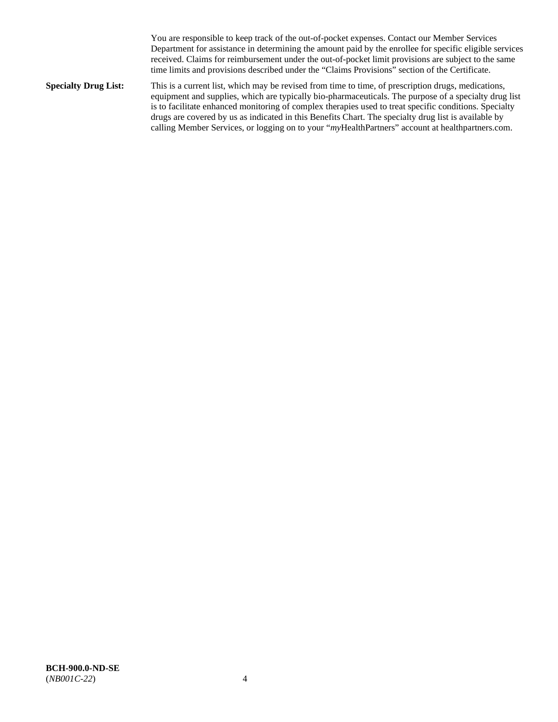You are responsible to keep track of the out-of-pocket expenses. Contact our Member Services Department for assistance in determining the amount paid by the enrollee for specific eligible services received. Claims for reimbursement under the out-of-pocket limit provisions are subject to the same time limits and provisions described under the "Claims Provisions" section of the Certificate.

**Specialty Drug List:** This is a current list, which may be revised from time to time, of prescription drugs, medications, equipment and supplies, which are typically bio-pharmaceuticals. The purpose of a specialty drug list is to facilitate enhanced monitoring of complex therapies used to treat specific conditions. Specialty drugs are covered by us as indicated in this Benefits Chart. The specialty drug list is available by calling Member Services, or logging on to your "*my*HealthPartners" account at [healthpartners.com.](http://www.healthpartners.com/)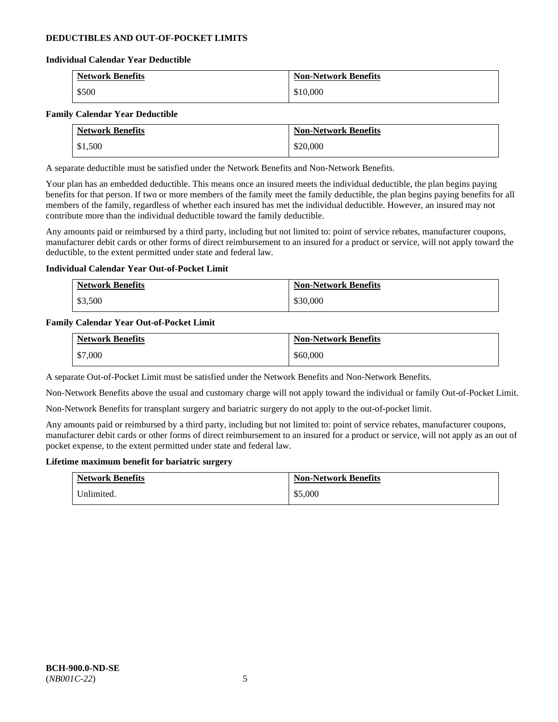# **DEDUCTIBLES AND OUT-OF-POCKET LIMITS**

### **Individual Calendar Year Deductible**

| <b>Network Benefits</b> | <b>Non-Network Benefits</b> |
|-------------------------|-----------------------------|
| \$500                   | \$10,000                    |

### **Family Calendar Year Deductible**

| <b>Network Benefits</b> | <b>Non-Network Benefits</b> |
|-------------------------|-----------------------------|
| \$1,500                 | \$20,000                    |

A separate deductible must be satisfied under the Network Benefits and Non-Network Benefits.

Your plan has an embedded deductible. This means once an insured meets the individual deductible, the plan begins paying benefits for that person. If two or more members of the family meet the family deductible, the plan begins paying benefits for all members of the family, regardless of whether each insured has met the individual deductible. However, an insured may not contribute more than the individual deductible toward the family deductible.

Any amounts paid or reimbursed by a third party, including but not limited to: point of service rebates, manufacturer coupons, manufacturer debit cards or other forms of direct reimbursement to an insured for a product or service, will not apply toward the deductible, to the extent permitted under state and federal law.

### **Individual Calendar Year Out-of-Pocket Limit**

| <b>Network Benefits</b> | <b>Non-Network Benefits</b> |
|-------------------------|-----------------------------|
| \$3,500                 | \$30,000                    |

### **Family Calendar Year Out-of-Pocket Limit**

| <b>Network Benefits</b> | <b>Non-Network Benefits</b> |
|-------------------------|-----------------------------|
| \$7,000                 | \$60,000                    |

A separate Out-of-Pocket Limit must be satisfied under the Network Benefits and Non-Network Benefits.

Non-Network Benefits above the usual and customary charge will not apply toward the individual or family Out-of-Pocket Limit.

Non-Network Benefits for transplant surgery and bariatric surgery do not apply to the out-of-pocket limit.

Any amounts paid or reimbursed by a third party, including but not limited to: point of service rebates, manufacturer coupons, manufacturer debit cards or other forms of direct reimbursement to an insured for a product or service, will not apply as an out of pocket expense, to the extent permitted under state and federal law.

#### **Lifetime maximum benefit for bariatric surgery**

| <b>Network Benefits</b> | <b>Non-Network Benefits</b> |
|-------------------------|-----------------------------|
| Unlimited.              | \$5,000                     |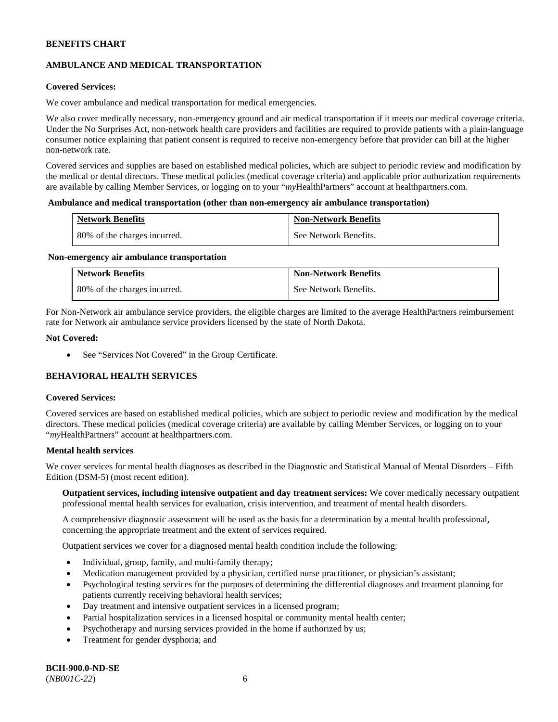# **AMBULANCE AND MEDICAL TRANSPORTATION**

# **Covered Services:**

We cover ambulance and medical transportation for medical emergencies.

We also cover medically necessary, non-emergency ground and air medical transportation if it meets our medical coverage criteria. Under the No Surprises Act, non-network health care providers and facilities are required to provide patients with a plain-language consumer notice explaining that patient consent is required to receive non-emergency before that provider can bill at the higher non-network rate.

Covered services and supplies are based on established medical policies, which are subject to periodic review and modification by the medical or dental directors. These medical policies (medical coverage criteria) and applicable prior authorization requirements are available by calling Member Services, or logging on to your "*my*HealthPartners" account a[t healthpartners.com.](http://www.healthpartners.com/)

#### **Ambulance and medical transportation (other than non-emergency air ambulance transportation)**

| <b>Network Benefits</b>      | <b>Non-Network Benefits</b> |
|------------------------------|-----------------------------|
| 80% of the charges incurred. | See Network Benefits.       |

#### **Non-emergency air ambulance transportation**

| <b>Network Benefits</b>      | <b>Non-Network Benefits</b> |
|------------------------------|-----------------------------|
| 80% of the charges incurred. | See Network Benefits.       |

For Non-Network air ambulance service providers, the eligible charges are limited to the average HealthPartners reimbursement rate for Network air ambulance service providers licensed by the state of North Dakota.

### **Not Covered:**

• See "Services Not Covered" in the Group Certificate.

# **BEHAVIORAL HEALTH SERVICES**

#### **Covered Services:**

Covered services are based on established medical policies, which are subject to periodic review and modification by the medical directors. These medical policies (medical coverage criteria) are available by calling Member Services, or logging on to your "*my*HealthPartners" account at [healthpartners.com.](http://healthpartners.com/)

### **Mental health services**

We cover services for mental health diagnoses as described in the Diagnostic and Statistical Manual of Mental Disorders - Fifth Edition (DSM-5) (most recent edition).

**Outpatient services, including intensive outpatient and day treatment services:** We cover medically necessary outpatient professional mental health services for evaluation, crisis intervention, and treatment of mental health disorders.

A comprehensive diagnostic assessment will be used as the basis for a determination by a mental health professional, concerning the appropriate treatment and the extent of services required.

Outpatient services we cover for a diagnosed mental health condition include the following:

- Individual, group, family, and multi-family therapy;
- Medication management provided by a physician, certified nurse practitioner, or physician's assistant;
- Psychological testing services for the purposes of determining the differential diagnoses and treatment planning for patients currently receiving behavioral health services;
- Day treatment and intensive outpatient services in a licensed program;
- Partial hospitalization services in a licensed hospital or community mental health center;
- Psychotherapy and nursing services provided in the home if authorized by us;
- Treatment for gender dysphoria; and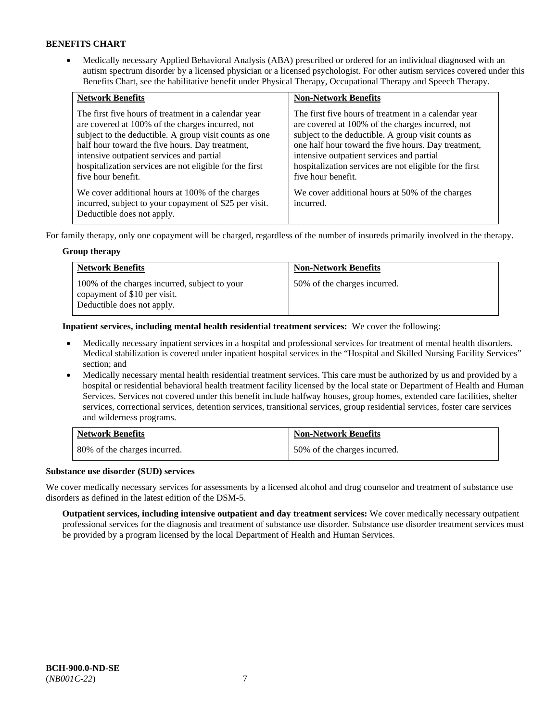• Medically necessary Applied Behavioral Analysis (ABA) prescribed or ordered for an individual diagnosed with an autism spectrum disorder by a licensed physician or a licensed psychologist. For other autism services covered under this Benefits Chart, see the habilitative benefit under Physical Therapy, Occupational Therapy and Speech Therapy.

| <b>Network Benefits</b>                                                                                                                                                                                                                                                                                                                             | <b>Non-Network Benefits</b>                                                                                                                                                                                                                                                                                                                         |
|-----------------------------------------------------------------------------------------------------------------------------------------------------------------------------------------------------------------------------------------------------------------------------------------------------------------------------------------------------|-----------------------------------------------------------------------------------------------------------------------------------------------------------------------------------------------------------------------------------------------------------------------------------------------------------------------------------------------------|
| The first five hours of treatment in a calendar year<br>are covered at 100% of the charges incurred, not<br>subject to the deductible. A group visit counts as one<br>half hour toward the five hours. Day treatment,<br>intensive outpatient services and partial<br>hospitalization services are not eligible for the first<br>five hour benefit. | The first five hours of treatment in a calendar year<br>are covered at 100% of the charges incurred, not<br>subject to the deductible. A group visit counts as<br>one half hour toward the five hours. Day treatment,<br>intensive outpatient services and partial<br>hospitalization services are not eligible for the first<br>five hour benefit. |
| We cover additional hours at 100% of the charges<br>incurred, subject to your copayment of \$25 per visit.<br>Deductible does not apply.                                                                                                                                                                                                            | We cover additional hours at 50% of the charges<br>incurred.                                                                                                                                                                                                                                                                                        |

For family therapy, only one copayment will be charged, regardless of the number of insureds primarily involved in the therapy.

# **Group therapy**

| <b>Network Benefits</b>                                                                                     | <b>Non-Network Benefits</b>  |
|-------------------------------------------------------------------------------------------------------------|------------------------------|
| 100% of the charges incurred, subject to your<br>copayment of \$10 per visit.<br>Deductible does not apply. | 50% of the charges incurred. |

**Inpatient services, including mental health residential treatment services:** We cover the following:

- Medically necessary inpatient services in a hospital and professional services for treatment of mental health disorders. Medical stabilization is covered under inpatient hospital services in the "Hospital and Skilled Nursing Facility Services" section; and
- Medically necessary mental health residential treatment services. This care must be authorized by us and provided by a hospital or residential behavioral health treatment facility licensed by the local state or Department of Health and Human Services. Services not covered under this benefit include halfway houses, group homes, extended care facilities, shelter services, correctional services, detention services, transitional services, group residential services, foster care services and wilderness programs.

| <b>Network Benefits</b>      | <b>Non-Network Benefits</b>  |
|------------------------------|------------------------------|
| 80% of the charges incurred. | 50% of the charges incurred. |

# **Substance use disorder (SUD) services**

We cover medically necessary services for assessments by a licensed alcohol and drug counselor and treatment of substance use disorders as defined in the latest edition of the DSM-5.

**Outpatient services, including intensive outpatient and day treatment services:** We cover medically necessary outpatient professional services for the diagnosis and treatment of substance use disorder. Substance use disorder treatment services must be provided by a program licensed by the local Department of Health and Human Services.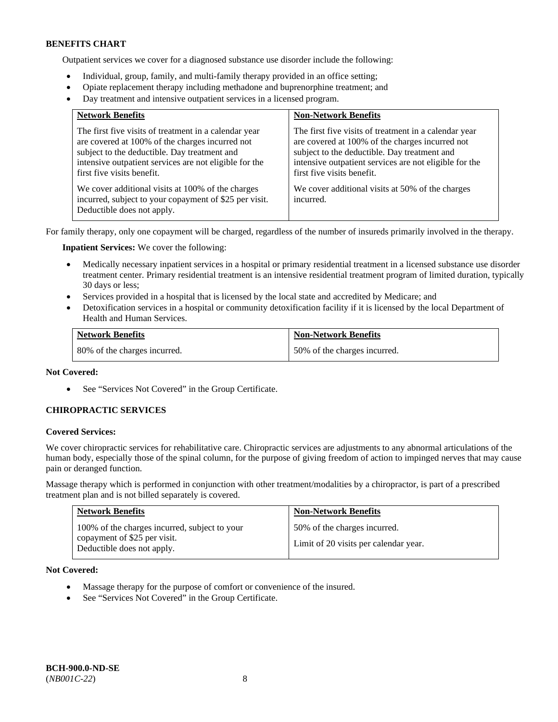Outpatient services we cover for a diagnosed substance use disorder include the following:

- Individual, group, family, and multi-family therapy provided in an office setting;
- Opiate replacement therapy including methadone and buprenorphine treatment; and
- Day treatment and intensive outpatient services in a licensed program.

| <b>Network Benefits</b>                                                                                                                                                                                                                          | <b>Non-Network Benefits</b>                                                                                                                                                                                                                      |
|--------------------------------------------------------------------------------------------------------------------------------------------------------------------------------------------------------------------------------------------------|--------------------------------------------------------------------------------------------------------------------------------------------------------------------------------------------------------------------------------------------------|
| The first five visits of treatment in a calendar year<br>are covered at 100% of the charges incurred not<br>subject to the deductible. Day treatment and<br>intensive outpatient services are not eligible for the<br>first five visits benefit. | The first five visits of treatment in a calendar year<br>are covered at 100% of the charges incurred not<br>subject to the deductible. Day treatment and<br>intensive outpatient services are not eligible for the<br>first five visits benefit. |
| We cover additional visits at 100% of the charges<br>incurred, subject to your copayment of \$25 per visit.<br>Deductible does not apply.                                                                                                        | We cover additional visits at 50% of the charges<br>incurred.                                                                                                                                                                                    |

For family therapy, only one copayment will be charged, regardless of the number of insureds primarily involved in the therapy.

**Inpatient Services:** We cover the following:

- Medically necessary inpatient services in a hospital or primary residential treatment in a licensed substance use disorder treatment center. Primary residential treatment is an intensive residential treatment program of limited duration, typically 30 days or less;
- Services provided in a hospital that is licensed by the local state and accredited by Medicare; and
- Detoxification services in a hospital or community detoxification facility if it is licensed by the local Department of Health and Human Services.

| <b>Network Benefits</b>      | <b>Non-Network Benefits</b>  |
|------------------------------|------------------------------|
| 80% of the charges incurred. | 50% of the charges incurred. |

# **Not Covered:**

• See "Services Not Covered" in the Group Certificate.

# **CHIROPRACTIC SERVICES**

#### **Covered Services:**

We cover chiropractic services for rehabilitative care. Chiropractic services are adjustments to any abnormal articulations of the human body, especially those of the spinal column, for the purpose of giving freedom of action to impinged nerves that may cause pain or deranged function.

Massage therapy which is performed in conjunction with other treatment/modalities by a chiropractor, is part of a prescribed treatment plan and is not billed separately is covered.

| <b>Network Benefits</b>                                                                                     | <b>Non-Network Benefits</b>                                           |
|-------------------------------------------------------------------------------------------------------------|-----------------------------------------------------------------------|
| 100% of the charges incurred, subject to your<br>copayment of \$25 per visit.<br>Deductible does not apply. | 50% of the charges incurred.<br>Limit of 20 visits per calendar year. |

**Not Covered:** 

- Massage therapy for the purpose of comfort or convenience of the insured.
- See "Services Not Covered" in the Group Certificate.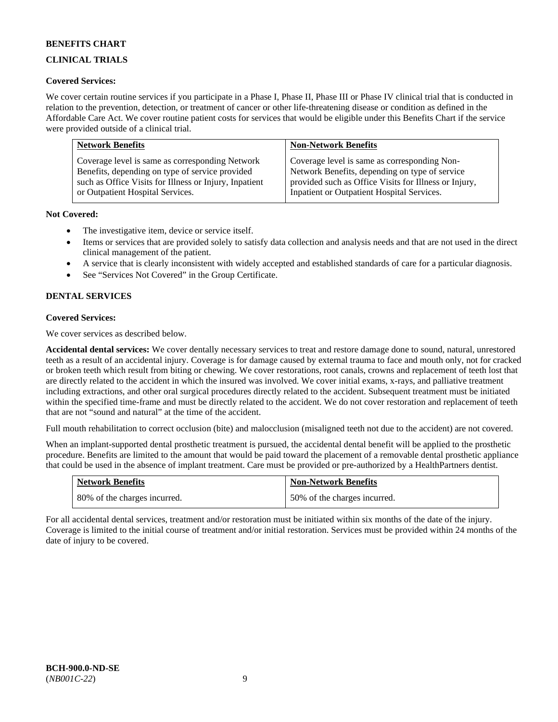# **CLINICAL TRIALS**

# **Covered Services:**

We cover certain routine services if you participate in a Phase I, Phase II, Phase III or Phase IV clinical trial that is conducted in relation to the prevention, detection, or treatment of cancer or other life-threatening disease or condition as defined in the Affordable Care Act. We cover routine patient costs for services that would be eligible under this Benefits Chart if the service were provided outside of a clinical trial.

| <b>Network Benefits</b>                                | <b>Non-Network Benefits</b>                           |
|--------------------------------------------------------|-------------------------------------------------------|
| Coverage level is same as corresponding Network        | Coverage level is same as corresponding Non-          |
| Benefits, depending on type of service provided        | Network Benefits, depending on type of service        |
| such as Office Visits for Illness or Injury, Inpatient | provided such as Office Visits for Illness or Injury, |
| or Outpatient Hospital Services.                       | Inpatient or Outpatient Hospital Services.            |

# **Not Covered:**

- The investigative item, device or service itself.
- Items or services that are provided solely to satisfy data collection and analysis needs and that are not used in the direct clinical management of the patient.
- A service that is clearly inconsistent with widely accepted and established standards of care for a particular diagnosis.
- See "Services Not Covered" in the Group Certificate.

# **DENTAL SERVICES**

# **Covered Services:**

We cover services as described below.

**Accidental dental services:** We cover dentally necessary services to treat and restore damage done to sound, natural, unrestored teeth as a result of an accidental injury. Coverage is for damage caused by external trauma to face and mouth only, not for cracked or broken teeth which result from biting or chewing. We cover restorations, root canals, crowns and replacement of teeth lost that are directly related to the accident in which the insured was involved. We cover initial exams, x-rays, and palliative treatment including extractions, and other oral surgical procedures directly related to the accident. Subsequent treatment must be initiated within the specified time-frame and must be directly related to the accident. We do not cover restoration and replacement of teeth that are not "sound and natural" at the time of the accident.

Full mouth rehabilitation to correct occlusion (bite) and malocclusion (misaligned teeth not due to the accident) are not covered.

When an implant-supported dental prosthetic treatment is pursued, the accidental dental benefit will be applied to the prosthetic procedure. Benefits are limited to the amount that would be paid toward the placement of a removable dental prosthetic appliance that could be used in the absence of implant treatment. Care must be provided or pre-authorized by a HealthPartners dentist.

| <b>Network Benefits</b>      | <b>Non-Network Benefits</b>  |
|------------------------------|------------------------------|
| 80% of the charges incurred. | 50% of the charges incurred. |

For all accidental dental services, treatment and/or restoration must be initiated within six months of the date of the injury. Coverage is limited to the initial course of treatment and/or initial restoration. Services must be provided within 24 months of the date of injury to be covered.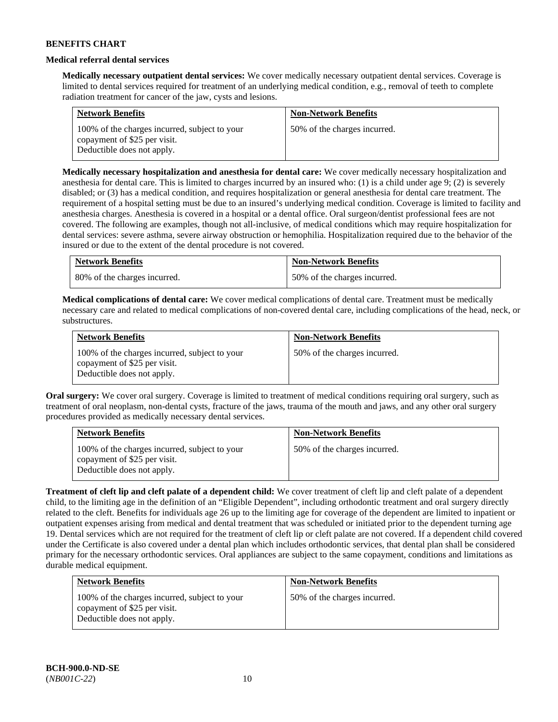### **Medical referral dental services**

**Medically necessary outpatient dental services:** We cover medically necessary outpatient dental services. Coverage is limited to dental services required for treatment of an underlying medical condition, e.g., removal of teeth to complete radiation treatment for cancer of the jaw, cysts and lesions.

| <b>Network Benefits</b>                                                                                     | <b>Non-Network Benefits</b>  |
|-------------------------------------------------------------------------------------------------------------|------------------------------|
| 100% of the charges incurred, subject to your<br>copayment of \$25 per visit.<br>Deductible does not apply. | 50% of the charges incurred. |

**Medically necessary hospitalization and anesthesia for dental care:** We cover medically necessary hospitalization and anesthesia for dental care. This is limited to charges incurred by an insured who: (1) is a child under age 9; (2) is severely disabled; or (3) has a medical condition, and requires hospitalization or general anesthesia for dental care treatment. The requirement of a hospital setting must be due to an insured's underlying medical condition. Coverage is limited to facility and anesthesia charges. Anesthesia is covered in a hospital or a dental office. Oral surgeon/dentist professional fees are not covered. The following are examples, though not all-inclusive, of medical conditions which may require hospitalization for dental services: severe asthma, severe airway obstruction or hemophilia. Hospitalization required due to the behavior of the insured or due to the extent of the dental procedure is not covered.

| <b>Network Benefits</b>      | <b>Non-Network Benefits</b>  |
|------------------------------|------------------------------|
| 80% of the charges incurred. | 50% of the charges incurred. |

**Medical complications of dental care:** We cover medical complications of dental care. Treatment must be medically necessary care and related to medical complications of non-covered dental care, including complications of the head, neck, or substructures.

| <b>Network Benefits</b>                                                                                     | <b>Non-Network Benefits</b>  |
|-------------------------------------------------------------------------------------------------------------|------------------------------|
| 100% of the charges incurred, subject to your<br>copayment of \$25 per visit.<br>Deductible does not apply. | 50% of the charges incurred. |

**Oral surgery:** We cover oral surgery. Coverage is limited to treatment of medical conditions requiring oral surgery, such as treatment of oral neoplasm, non-dental cysts, fracture of the jaws, trauma of the mouth and jaws, and any other oral surgery procedures provided as medically necessary dental services.

| <b>Network Benefits</b>                                                                                     | <b>Non-Network Benefits</b>  |
|-------------------------------------------------------------------------------------------------------------|------------------------------|
| 100% of the charges incurred, subject to your<br>copayment of \$25 per visit.<br>Deductible does not apply. | 50% of the charges incurred. |

**Treatment of cleft lip and cleft palate of a dependent child:** We cover treatment of cleft lip and cleft palate of a dependent child, to the limiting age in the definition of an "Eligible Dependent", including orthodontic treatment and oral surgery directly related to the cleft. Benefits for individuals age 26 up to the limiting age for coverage of the dependent are limited to inpatient or outpatient expenses arising from medical and dental treatment that was scheduled or initiated prior to the dependent turning age 19. Dental services which are not required for the treatment of cleft lip or cleft palate are not covered. If a dependent child covered under the Certificate is also covered under a dental plan which includes orthodontic services, that dental plan shall be considered primary for the necessary orthodontic services. Oral appliances are subject to the same copayment, conditions and limitations as durable medical equipment.

| <b>Network Benefits</b>                                                                                     | <b>Non-Network Benefits</b>  |
|-------------------------------------------------------------------------------------------------------------|------------------------------|
| 100% of the charges incurred, subject to your<br>copayment of \$25 per visit.<br>Deductible does not apply. | 50% of the charges incurred. |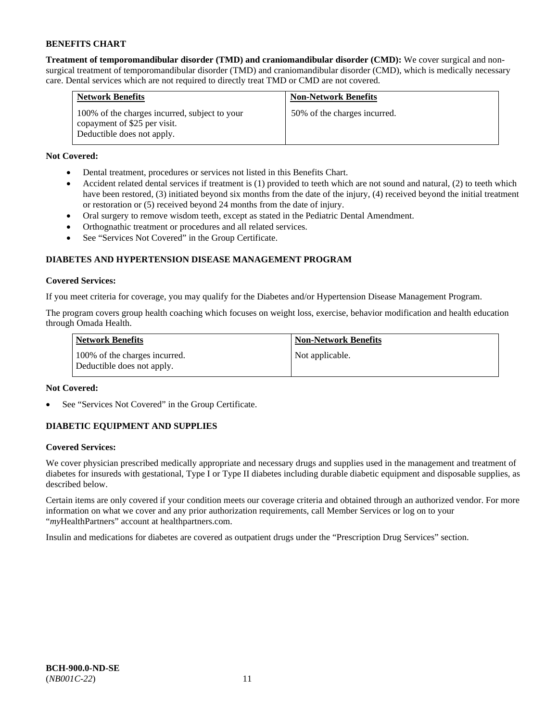**Treatment of temporomandibular disorder (TMD) and craniomandibular disorder (CMD):** We cover surgical and nonsurgical treatment of temporomandibular disorder (TMD) and craniomandibular disorder (CMD), which is medically necessary care. Dental services which are not required to directly treat TMD or CMD are not covered.

| <b>Network Benefits</b>                                                                                     | <b>Non-Network Benefits</b>  |
|-------------------------------------------------------------------------------------------------------------|------------------------------|
| 100% of the charges incurred, subject to your<br>copayment of \$25 per visit.<br>Deductible does not apply. | 50% of the charges incurred. |

# **Not Covered:**

- Dental treatment, procedures or services not listed in this Benefits Chart.
- Accident related dental services if treatment is (1) provided to teeth which are not sound and natural, (2) to teeth which have been restored, (3) initiated beyond six months from the date of the injury, (4) received beyond the initial treatment or restoration or (5) received beyond 24 months from the date of injury.
- Oral surgery to remove wisdom teeth, except as stated in the Pediatric Dental Amendment.
- Orthognathic treatment or procedures and all related services.
- See "Services Not Covered" in the Group Certificate.

# **DIABETES AND HYPERTENSION DISEASE MANAGEMENT PROGRAM**

# **Covered Services:**

If you meet criteria for coverage, you may qualify for the Diabetes and/or Hypertension Disease Management Program.

The program covers group health coaching which focuses on weight loss, exercise, behavior modification and health education through Omada Health.

| <b>Network Benefits</b>                                     | <b>Non-Network Benefits</b> |
|-------------------------------------------------------------|-----------------------------|
| 100% of the charges incurred.<br>Deductible does not apply. | Not applicable.             |

# **Not Covered:**

See "Services Not Covered" in the Group Certificate.

# **DIABETIC EQUIPMENT AND SUPPLIES**

# **Covered Services:**

We cover physician prescribed medically appropriate and necessary drugs and supplies used in the management and treatment of diabetes for insureds with gestational, Type I or Type II diabetes including durable diabetic equipment and disposable supplies, as described below.

Certain items are only covered if your condition meets our coverage criteria and obtained through an authorized vendor. For more information on what we cover and any prior authorization requirements, call Member Services or log on to your "*my*HealthPartners" account at [healthpartners.com.](http://www.healthpartners.com/)

Insulin and medications for diabetes are covered as outpatient drugs under the "Prescription Drug Services" section.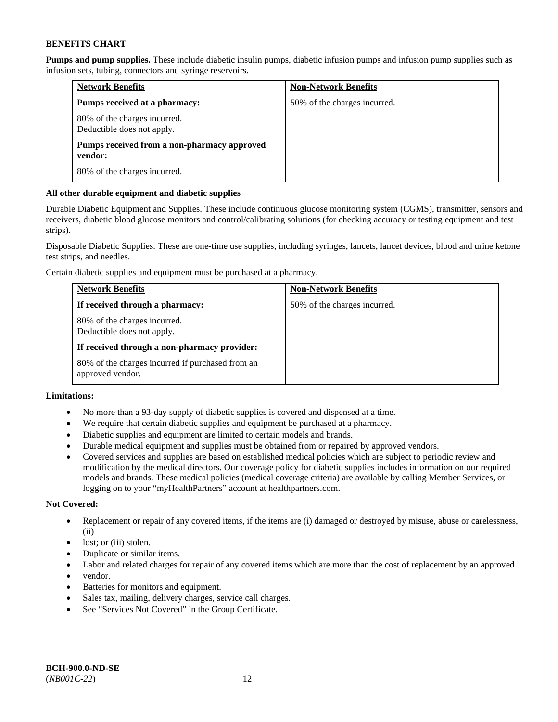**Pumps and pump supplies.** These include diabetic insulin pumps, diabetic infusion pumps and infusion pump supplies such as infusion sets, tubing, connectors and syringe reservoirs.

| <b>Network Benefits</b>                                    | <b>Non-Network Benefits</b>  |
|------------------------------------------------------------|------------------------------|
| Pumps received at a pharmacy:                              | 50% of the charges incurred. |
| 80% of the charges incurred.<br>Deductible does not apply. |                              |
| Pumps received from a non-pharmacy approved<br>vendor:     |                              |
| 80% of the charges incurred.                               |                              |

# **All other durable equipment and diabetic supplies**

Durable Diabetic Equipment and Supplies. These include continuous glucose monitoring system (CGMS), transmitter, sensors and receivers, diabetic blood glucose monitors and control/calibrating solutions (for checking accuracy or testing equipment and test strips).

Disposable Diabetic Supplies. These are one-time use supplies, including syringes, lancets, lancet devices, blood and urine ketone test strips, and needles.

Certain diabetic supplies and equipment must be purchased at a pharmacy.

| <b>Network Benefits</b>                                              | <b>Non-Network Benefits</b>  |
|----------------------------------------------------------------------|------------------------------|
| If received through a pharmacy:                                      | 50% of the charges incurred. |
| 80% of the charges incurred.<br>Deductible does not apply.           |                              |
| If received through a non-pharmacy provider:                         |                              |
| 80% of the charges incurred if purchased from an<br>approved vendor. |                              |

# **Limitations:**

- No more than a 93-day supply of diabetic supplies is covered and dispensed at a time.
- We require that certain diabetic supplies and equipment be purchased at a pharmacy.
- Diabetic supplies and equipment are limited to certain models and brands.
- Durable medical equipment and supplies must be obtained from or repaired by approved vendors.
- Covered services and supplies are based on established medical policies which are subject to periodic review and modification by the medical directors. Our coverage policy for diabetic supplies includes information on our required models and brands. These medical policies (medical coverage criteria) are available by calling Member Services, or logging on to your "myHealthPartners" account a[t healthpartners.com.](http://www.healthpartners.com/)

# **Not Covered:**

- Replacement or repair of any covered items, if the items are (i) damaged or destroyed by misuse, abuse or carelessness, (ii)
- lost; or (iii) stolen.
- Duplicate or similar items.
- Labor and related charges for repair of any covered items which are more than the cost of replacement by an approved
- vendor.
- Batteries for monitors and equipment.
- Sales tax, mailing, delivery charges, service call charges.
- See "Services Not Covered" in the Group Certificate.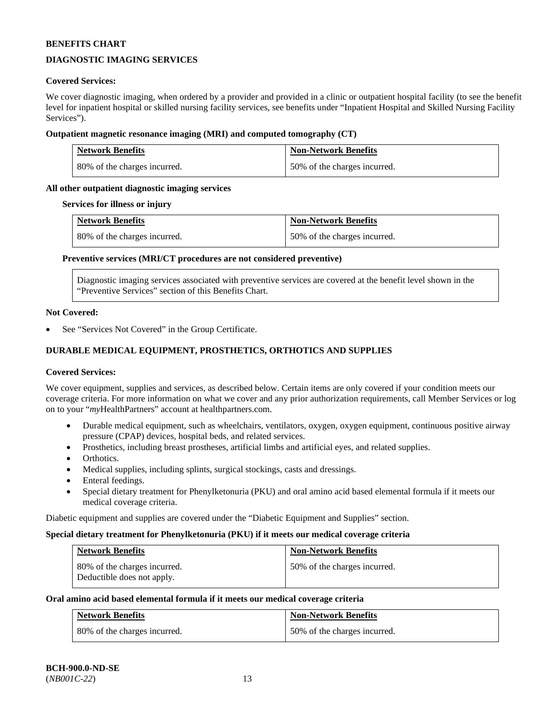# **DIAGNOSTIC IMAGING SERVICES**

# **Covered Services:**

We cover diagnostic imaging, when ordered by a provider and provided in a clinic or outpatient hospital facility (to see the benefit level for inpatient hospital or skilled nursing facility services, see benefits under "Inpatient Hospital and Skilled Nursing Facility Services").

### **Outpatient magnetic resonance imaging (MRI) and computed tomography (CT)**

| <b>Network Benefits</b>      | <b>Non-Network Benefits</b>  |
|------------------------------|------------------------------|
| 80% of the charges incurred. | 50% of the charges incurred. |

# **All other outpatient diagnostic imaging services**

#### **Services for illness or injury**

| <b>Network Benefits</b>      | <b>Non-Network Benefits</b>  |
|------------------------------|------------------------------|
| 80% of the charges incurred. | 50% of the charges incurred. |

### **Preventive services (MRI/CT procedures are not considered preventive)**

Diagnostic imaging services associated with preventive services are covered at the benefit level shown in the "Preventive Services" section of this Benefits Chart.

#### **Not Covered:**

See "Services Not Covered" in the Group Certificate.

# **DURABLE MEDICAL EQUIPMENT, PROSTHETICS, ORTHOTICS AND SUPPLIES**

#### **Covered Services:**

We cover equipment, supplies and services, as described below. Certain items are only covered if your condition meets our coverage criteria. For more information on what we cover and any prior authorization requirements, call Member Services or log on to your "*my*HealthPartners" account at [healthpartners.com.](http://www.healthpartners.com/)

- Durable medical equipment, such as wheelchairs, ventilators, oxygen, oxygen equipment, continuous positive airway pressure (CPAP) devices, hospital beds, and related services.
- Prosthetics, including breast prostheses, artificial limbs and artificial eyes, and related supplies.
- Orthotics.
- Medical supplies, including splints, surgical stockings, casts and dressings.
- Enteral feedings.
- Special dietary treatment for Phenylketonuria (PKU) and oral amino acid based elemental formula if it meets our medical coverage criteria.

Diabetic equipment and supplies are covered under the "Diabetic Equipment and Supplies" section.

#### **Special dietary treatment for Phenylketonuria (PKU) if it meets our medical coverage criteria**

| <b>Network Benefits</b>                                    | <b>Non-Network Benefits</b>  |
|------------------------------------------------------------|------------------------------|
| 80% of the charges incurred.<br>Deductible does not apply. | 50% of the charges incurred. |

#### **Oral amino acid based elemental formula if it meets our medical coverage criteria**

| <b>Network Benefits</b>      | <b>Non-Network Benefits</b>  |
|------------------------------|------------------------------|
| 80% of the charges incurred. | 50% of the charges incurred. |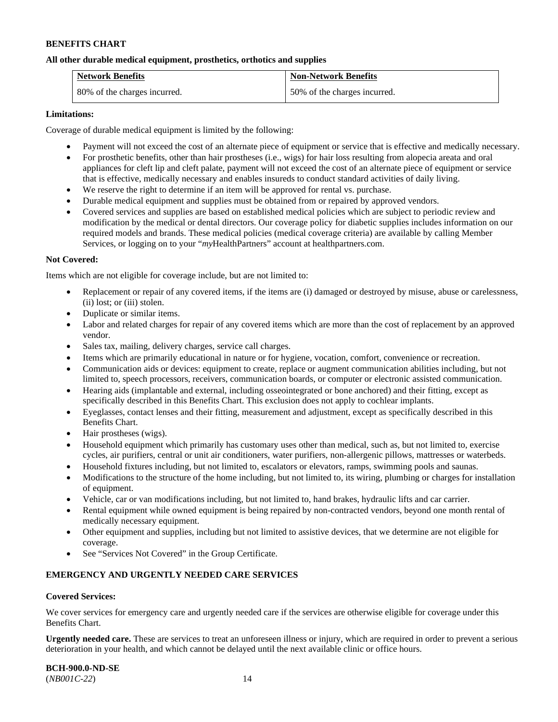### **All other durable medical equipment, prosthetics, orthotics and supplies**

| <b>Network Benefits</b>      | <b>Non-Network Benefits</b>  |
|------------------------------|------------------------------|
| 80% of the charges incurred. | 50% of the charges incurred. |

### **Limitations:**

Coverage of durable medical equipment is limited by the following:

- Payment will not exceed the cost of an alternate piece of equipment or service that is effective and medically necessary.
- For prosthetic benefits, other than hair prostheses (i.e., wigs) for hair loss resulting from alopecia areata and oral appliances for cleft lip and cleft palate, payment will not exceed the cost of an alternate piece of equipment or service that is effective, medically necessary and enables insureds to conduct standard activities of daily living.
- We reserve the right to determine if an item will be approved for rental vs. purchase.
- Durable medical equipment and supplies must be obtained from or repaired by approved vendors.
- Covered services and supplies are based on established medical policies which are subject to periodic review and modification by the medical or dental directors. Our coverage policy for diabetic supplies includes information on our required models and brands. These medical policies (medical coverage criteria) are available by calling Member Services, or logging on to your "*my*HealthPartners" account at [healthpartners.com.](http://www.healthpartners.com/)

### **Not Covered:**

Items which are not eligible for coverage include, but are not limited to:

- Replacement or repair of any covered items, if the items are (i) damaged or destroyed by misuse, abuse or carelessness, (ii) lost; or (iii) stolen.
- Duplicate or similar items.
- Labor and related charges for repair of any covered items which are more than the cost of replacement by an approved vendor.
- Sales tax, mailing, delivery charges, service call charges.
- Items which are primarily educational in nature or for hygiene, vocation, comfort, convenience or recreation.
- Communication aids or devices: equipment to create, replace or augment communication abilities including, but not limited to, speech processors, receivers, communication boards, or computer or electronic assisted communication.
- Hearing aids (implantable and external, including osseointegrated or bone anchored) and their fitting, except as specifically described in this Benefits Chart. This exclusion does not apply to cochlear implants.
- Eyeglasses, contact lenses and their fitting, measurement and adjustment, except as specifically described in this Benefits Chart.
- Hair prostheses (wigs).
- Household equipment which primarily has customary uses other than medical, such as, but not limited to, exercise cycles, air purifiers, central or unit air conditioners, water purifiers, non-allergenic pillows, mattresses or waterbeds.
- Household fixtures including, but not limited to, escalators or elevators, ramps, swimming pools and saunas.
- Modifications to the structure of the home including, but not limited to, its wiring, plumbing or charges for installation of equipment.
- Vehicle, car or van modifications including, but not limited to, hand brakes, hydraulic lifts and car carrier.
- Rental equipment while owned equipment is being repaired by non-contracted vendors, beyond one month rental of medically necessary equipment.
- Other equipment and supplies, including but not limited to assistive devices, that we determine are not eligible for coverage.
- See "Services Not Covered" in the Group Certificate.

# **EMERGENCY AND URGENTLY NEEDED CARE SERVICES**

# **Covered Services:**

We cover services for emergency care and urgently needed care if the services are otherwise eligible for coverage under this Benefits Chart.

**Urgently needed care.** These are services to treat an unforeseen illness or injury, which are required in order to prevent a serious deterioration in your health, and which cannot be delayed until the next available clinic or office hours.

**BCH-900.0-ND-SE** (*NB001C-22*) 14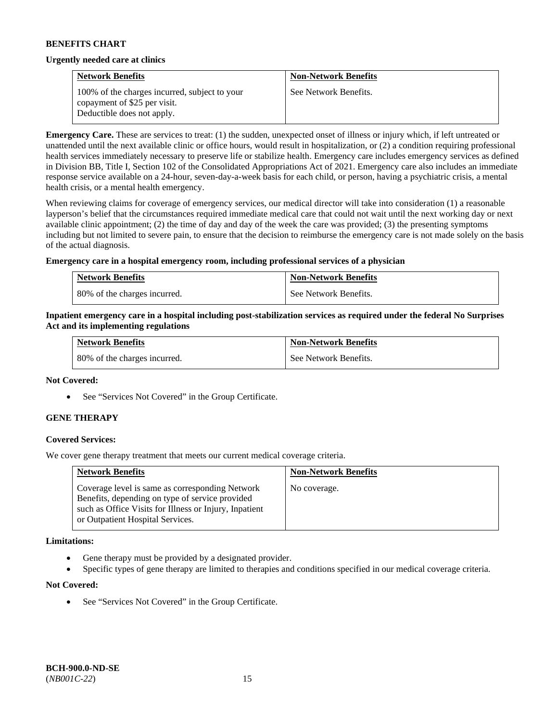#### **Urgently needed care at clinics**

| <b>Network Benefits</b>                                                       | <b>Non-Network Benefits</b> |
|-------------------------------------------------------------------------------|-----------------------------|
| 100% of the charges incurred, subject to your<br>copayment of \$25 per visit. | See Network Benefits.       |
| Deductible does not apply.                                                    |                             |

**Emergency Care.** These are services to treat: (1) the sudden, unexpected onset of illness or injury which, if left untreated or unattended until the next available clinic or office hours, would result in hospitalization, or (2) a condition requiring professional health services immediately necessary to preserve life or stabilize health. Emergency care includes emergency services as defined in Division BB, Title I, Section 102 of the Consolidated Appropriations Act of 2021. Emergency care also includes an immediate response service available on a 24-hour, seven-day-a-week basis for each child, or person, having a psychiatric crisis, a mental health crisis, or a mental health emergency.

When reviewing claims for coverage of emergency services, our medical director will take into consideration (1) a reasonable layperson's belief that the circumstances required immediate medical care that could not wait until the next working day or next available clinic appointment; (2) the time of day and day of the week the care was provided; (3) the presenting symptoms including but not limited to severe pain, to ensure that the decision to reimburse the emergency care is not made solely on the basis of the actual diagnosis.

### **Emergency care in a hospital emergency room, including professional services of a physician**

| <b>Network Benefits</b>      | <b>Non-Network Benefits</b> |
|------------------------------|-----------------------------|
| 80% of the charges incurred. | See Network Benefits.       |

### **Inpatient emergency care in a hospital including post-stabilization services as required under the federal No Surprises Act and its implementing regulations**

| <b>Network Benefits</b>      | <b>Non-Network Benefits</b> |
|------------------------------|-----------------------------|
| 80% of the charges incurred. | See Network Benefits.       |

#### **Not Covered:**

• See "Services Not Covered" in the Group Certificate.

# **GENE THERAPY**

# **Covered Services:**

We cover gene therapy treatment that meets our current medical coverage criteria.

| <b>Network Benefits</b>                                                                                                                                                                          | <b>Non-Network Benefits</b> |
|--------------------------------------------------------------------------------------------------------------------------------------------------------------------------------------------------|-----------------------------|
| Coverage level is same as corresponding Network<br>Benefits, depending on type of service provided<br>such as Office Visits for Illness or Injury, Inpatient<br>or Outpatient Hospital Services. | No coverage.                |

#### **Limitations:**

- Gene therapy must be provided by a designated provider.
- Specific types of gene therapy are limited to therapies and conditions specified in our medical coverage criteria.

#### **Not Covered:**

See "Services Not Covered" in the Group Certificate.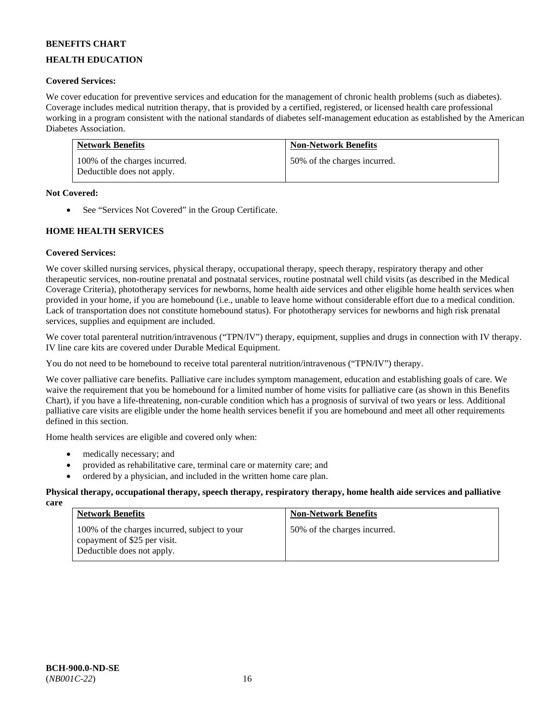# **HEALTH EDUCATION**

# **Covered Services:**

We cover education for preventive services and education for the management of chronic health problems (such as diabetes). Coverage includes medical nutrition therapy, that is provided by a certified, registered, or licensed health care professional working in a program consistent with the national standards of diabetes self-management education as established by the American Diabetes Association.

| <b>Network Benefits</b>                                     | <b>Non-Network Benefits</b>  |
|-------------------------------------------------------------|------------------------------|
| 100% of the charges incurred.<br>Deductible does not apply. | 50% of the charges incurred. |

### **Not Covered:**

• See "Services Not Covered" in the Group Certificate.

# **HOME HEALTH SERVICES**

# **Covered Services:**

We cover skilled nursing services, physical therapy, occupational therapy, speech therapy, respiratory therapy and other therapeutic services, non-routine prenatal and postnatal services, routine postnatal well child visits (as described in the Medical Coverage Criteria), phototherapy services for newborns, home health aide services and other eligible home health services when provided in your home, if you are homebound (i.e., unable to leave home without considerable effort due to a medical condition. Lack of transportation does not constitute homebound status). For phototherapy services for newborns and high risk prenatal services, supplies and equipment are included.

We cover total parenteral nutrition/intravenous ("TPN/IV") therapy, equipment, supplies and drugs in connection with IV therapy. IV line care kits are covered under Durable Medical Equipment.

You do not need to be homebound to receive total parenteral nutrition/intravenous ("TPN/IV") therapy.

We cover palliative care benefits. Palliative care includes symptom management, education and establishing goals of care. We waive the requirement that you be homebound for a limited number of home visits for palliative care (as shown in this Benefits Chart), if you have a life-threatening, non-curable condition which has a prognosis of survival of two years or less. Additional palliative care visits are eligible under the home health services benefit if you are homebound and meet all other requirements defined in this section.

Home health services are eligible and covered only when:

- medically necessary; and
- provided as rehabilitative care, terminal care or maternity care; and
- ordered by a physician, and included in the written home care plan.

#### **Physical therapy, occupational therapy, speech therapy, respiratory therapy, home health aide services and palliative care**

| <b>Network Benefits</b>                                                                                     | <b>Non-Network Benefits</b>  |
|-------------------------------------------------------------------------------------------------------------|------------------------------|
| 100% of the charges incurred, subject to your<br>copayment of \$25 per visit.<br>Deductible does not apply. | 50% of the charges incurred. |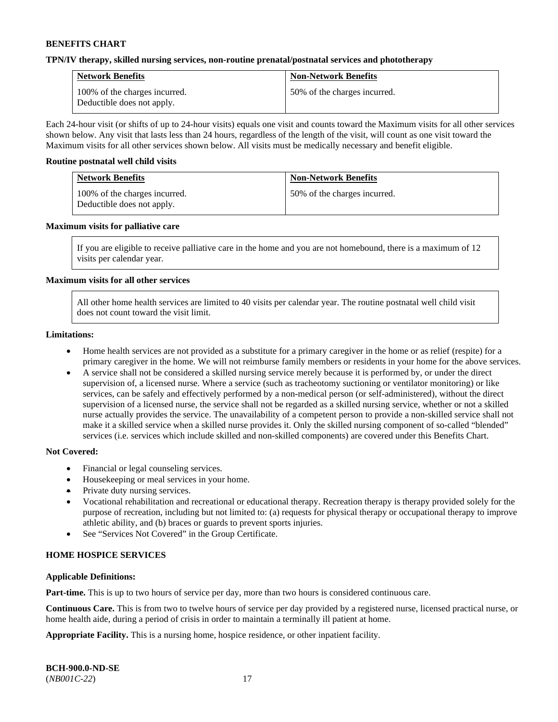#### **TPN/IV therapy, skilled nursing services, non-routine prenatal/postnatal services and phototherapy**

| <b>Network Benefits</b>                                     | <b>Non-Network Benefits</b>  |
|-------------------------------------------------------------|------------------------------|
| 100% of the charges incurred.<br>Deductible does not apply. | 50% of the charges incurred. |

Each 24-hour visit (or shifts of up to 24-hour visits) equals one visit and counts toward the Maximum visits for all other services shown below. Any visit that lasts less than 24 hours, regardless of the length of the visit, will count as one visit toward the Maximum visits for all other services shown below. All visits must be medically necessary and benefit eligible.

#### **Routine postnatal well child visits**

| <b>Network Benefits</b>                                     | <b>Non-Network Benefits</b>  |
|-------------------------------------------------------------|------------------------------|
| 100% of the charges incurred.<br>Deductible does not apply. | 50% of the charges incurred. |

#### **Maximum visits for palliative care**

If you are eligible to receive palliative care in the home and you are not homebound, there is a maximum of 12 visits per calendar year.

### **Maximum visits for all other services**

All other home health services are limited to 40 visits per calendar year. The routine postnatal well child visit does not count toward the visit limit.

#### **Limitations:**

- Home health services are not provided as a substitute for a primary caregiver in the home or as relief (respite) for a primary caregiver in the home. We will not reimburse family members or residents in your home for the above services.
- A service shall not be considered a skilled nursing service merely because it is performed by, or under the direct supervision of, a licensed nurse. Where a service (such as tracheotomy suctioning or ventilator monitoring) or like services, can be safely and effectively performed by a non-medical person (or self-administered), without the direct supervision of a licensed nurse, the service shall not be regarded as a skilled nursing service, whether or not a skilled nurse actually provides the service. The unavailability of a competent person to provide a non-skilled service shall not make it a skilled service when a skilled nurse provides it. Only the skilled nursing component of so-called "blended" services (i.e. services which include skilled and non-skilled components) are covered under this Benefits Chart.

#### **Not Covered:**

- Financial or legal counseling services.
- Housekeeping or meal services in your home.
- Private duty nursing services.
- Vocational rehabilitation and recreational or educational therapy. Recreation therapy is therapy provided solely for the purpose of recreation, including but not limited to: (a) requests for physical therapy or occupational therapy to improve athletic ability, and (b) braces or guards to prevent sports injuries.
- See "Services Not Covered" in the Group Certificate.

# **HOME HOSPICE SERVICES**

#### **Applicable Definitions:**

**Part-time.** This is up to two hours of service per day, more than two hours is considered continuous care.

**Continuous Care.** This is from two to twelve hours of service per day provided by a registered nurse, licensed practical nurse, or home health aide, during a period of crisis in order to maintain a terminally ill patient at home.

**Appropriate Facility.** This is a nursing home, hospice residence, or other inpatient facility.

| <b>BCH-900.0-ND-SE</b> |  |
|------------------------|--|
| $(NB001C-22)$          |  |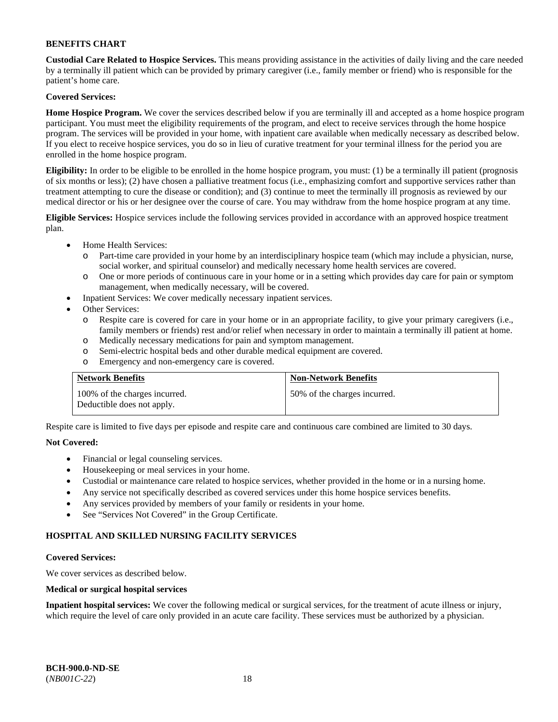**Custodial Care Related to Hospice Services.** This means providing assistance in the activities of daily living and the care needed by a terminally ill patient which can be provided by primary caregiver (i.e., family member or friend) who is responsible for the patient's home care.

# **Covered Services:**

**Home Hospice Program.** We cover the services described below if you are terminally ill and accepted as a home hospice program participant. You must meet the eligibility requirements of the program, and elect to receive services through the home hospice program. The services will be provided in your home, with inpatient care available when medically necessary as described below. If you elect to receive hospice services, you do so in lieu of curative treatment for your terminal illness for the period you are enrolled in the home hospice program.

**Eligibility:** In order to be eligible to be enrolled in the home hospice program, you must: (1) be a terminally ill patient (prognosis of six months or less); (2) have chosen a palliative treatment focus (i.e., emphasizing comfort and supportive services rather than treatment attempting to cure the disease or condition); and (3) continue to meet the terminally ill prognosis as reviewed by our medical director or his or her designee over the course of care. You may withdraw from the home hospice program at any time.

**Eligible Services:** Hospice services include the following services provided in accordance with an approved hospice treatment plan.

- Home Health Services:
	- o Part-time care provided in your home by an interdisciplinary hospice team (which may include a physician, nurse, social worker, and spiritual counselor) and medically necessary home health services are covered.
	- o One or more periods of continuous care in your home or in a setting which provides day care for pain or symptom management, when medically necessary, will be covered.
	- Inpatient Services: We cover medically necessary inpatient services.
- Other Services:
	- o Respite care is covered for care in your home or in an appropriate facility, to give your primary caregivers (i.e., family members or friends) rest and/or relief when necessary in order to maintain a terminally ill patient at home.
	- o Medically necessary medications for pain and symptom management.
	- o Semi-electric hospital beds and other durable medical equipment are covered.
	- o Emergency and non-emergency care is covered.

| <b>Network Benefits</b>                                     | <b>Non-Network Benefits</b>  |
|-------------------------------------------------------------|------------------------------|
| 100% of the charges incurred.<br>Deductible does not apply. | 50% of the charges incurred. |

Respite care is limited to five days per episode and respite care and continuous care combined are limited to 30 days.

# **Not Covered:**

- Financial or legal counseling services.
- Housekeeping or meal services in your home.
- Custodial or maintenance care related to hospice services, whether provided in the home or in a nursing home.
- Any service not specifically described as covered services under this home hospice services benefits.
- Any services provided by members of your family or residents in your home.
- See "Services Not Covered" in the Group Certificate.

# **HOSPITAL AND SKILLED NURSING FACILITY SERVICES**

#### **Covered Services:**

We cover services as described below.

#### **Medical or surgical hospital services**

**Inpatient hospital services:** We cover the following medical or surgical services, for the treatment of acute illness or injury, which require the level of care only provided in an acute care facility. These services must be authorized by a physician.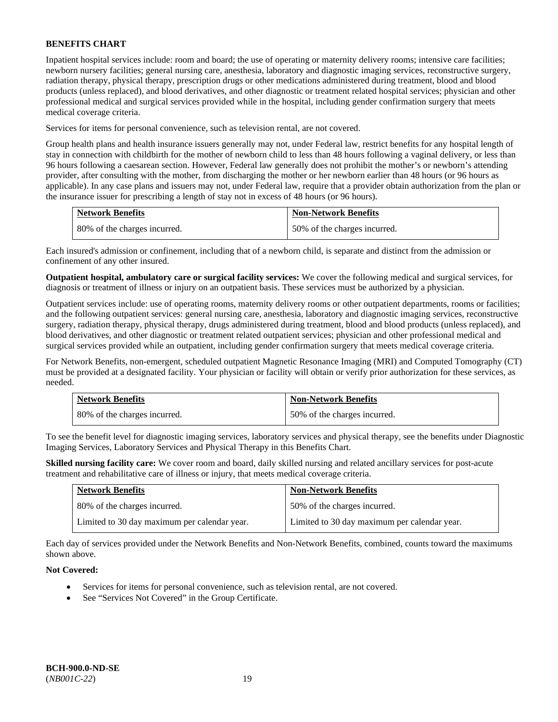Inpatient hospital services include: room and board; the use of operating or maternity delivery rooms; intensive care facilities; newborn nursery facilities; general nursing care, anesthesia, laboratory and diagnostic imaging services, reconstructive surgery, radiation therapy, physical therapy, prescription drugs or other medications administered during treatment, blood and blood products (unless replaced), and blood derivatives, and other diagnostic or treatment related hospital services; physician and other professional medical and surgical services provided while in the hospital, including gender confirmation surgery that meets medical coverage criteria.

Services for items for personal convenience, such as television rental, are not covered.

Group health plans and health insurance issuers generally may not, under Federal law, restrict benefits for any hospital length of stay in connection with childbirth for the mother of newborn child to less than 48 hours following a vaginal delivery, or less than 96 hours following a caesarean section. However, Federal law generally does not prohibit the mother's or newborn's attending provider, after consulting with the mother, from discharging the mother or her newborn earlier than 48 hours (or 96 hours as applicable). In any case plans and issuers may not, under Federal law, require that a provider obtain authorization from the plan or the insurance issuer for prescribing a length of stay not in excess of 48 hours (or 96 hours).

| <b>Network Benefits</b>      | <b>Non-Network Benefits</b>  |
|------------------------------|------------------------------|
| 80% of the charges incurred. | 50% of the charges incurred. |

Each insured's admission or confinement, including that of a newborn child, is separate and distinct from the admission or confinement of any other insured.

**Outpatient hospital, ambulatory care or surgical facility services:** We cover the following medical and surgical services, for diagnosis or treatment of illness or injury on an outpatient basis. These services must be authorized by a physician.

Outpatient services include: use of operating rooms, maternity delivery rooms or other outpatient departments, rooms or facilities; and the following outpatient services: general nursing care, anesthesia, laboratory and diagnostic imaging services, reconstructive surgery, radiation therapy, physical therapy, drugs administered during treatment, blood and blood products (unless replaced), and blood derivatives, and other diagnostic or treatment related outpatient services; physician and other professional medical and surgical services provided while an outpatient, including gender confirmation surgery that meets medical coverage criteria.

For Network Benefits, non-emergent, scheduled outpatient Magnetic Resonance Imaging (MRI) and Computed Tomography (CT) must be provided at a designated facility. Your physician or facility will obtain or verify prior authorization for these services, as needed.

| <b>Network Benefits</b>      | <b>Non-Network Benefits</b>  |
|------------------------------|------------------------------|
| 80% of the charges incurred. | 50% of the charges incurred. |

To see the benefit level for diagnostic imaging services, laboratory services and physical therapy, see the benefits under Diagnostic Imaging Services, Laboratory Services and Physical Therapy in this Benefits Chart.

**Skilled nursing facility care:** We cover room and board, daily skilled nursing and related ancillary services for post-acute treatment and rehabilitative care of illness or injury, that meets medical coverage criteria.

| <b>Network Benefits</b>                      | <b>Non-Network Benefits</b>                  |
|----------------------------------------------|----------------------------------------------|
| 80% of the charges incurred.                 | 50% of the charges incurred.                 |
| Limited to 30 day maximum per calendar year. | Limited to 30 day maximum per calendar year. |

Each day of services provided under the Network Benefits and Non-Network Benefits, combined, counts toward the maximums shown above.

# **Not Covered:**

- Services for items for personal convenience, such as television rental, are not covered.
- See "Services Not Covered" in the Group Certificate.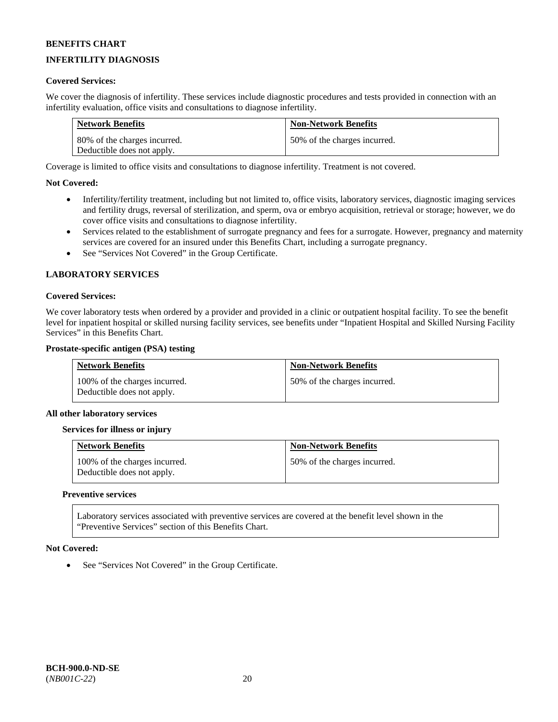# **INFERTILITY DIAGNOSIS**

### **Covered Services:**

We cover the diagnosis of infertility. These services include diagnostic procedures and tests provided in connection with an infertility evaluation, office visits and consultations to diagnose infertility.

| <b>Network Benefits</b>      | <b>Non-Network Benefits</b>  |
|------------------------------|------------------------------|
| 80% of the charges incurred. | 50% of the charges incurred. |
| Deductible does not apply.   |                              |

Coverage is limited to office visits and consultations to diagnose infertility. Treatment is not covered.

### **Not Covered:**

- Infertility/fertility treatment, including but not limited to, office visits, laboratory services, diagnostic imaging services and fertility drugs, reversal of sterilization, and sperm, ova or embryo acquisition, retrieval or storage; however, we do cover office visits and consultations to diagnose infertility.
- Services related to the establishment of surrogate pregnancy and fees for a surrogate. However, pregnancy and maternity services are covered for an insured under this Benefits Chart, including a surrogate pregnancy.
- See "Services Not Covered" in the Group Certificate.

### **LABORATORY SERVICES**

#### **Covered Services:**

We cover laboratory tests when ordered by a provider and provided in a clinic or outpatient hospital facility. To see the benefit level for inpatient hospital or skilled nursing facility services, see benefits under "Inpatient Hospital and Skilled Nursing Facility Services" in this Benefits Chart.

#### **Prostate-specific antigen (PSA) testing**

| <b>Network Benefits</b>                                     | <b>Non-Network Benefits</b>  |
|-------------------------------------------------------------|------------------------------|
| 100% of the charges incurred.<br>Deductible does not apply. | 50% of the charges incurred. |

#### **All other laboratory services**

#### **Services for illness or injury**

| <b>Network Benefits</b>                                     | <b>Non-Network Benefits</b>  |
|-------------------------------------------------------------|------------------------------|
| 100% of the charges incurred.<br>Deductible does not apply. | 50% of the charges incurred. |

#### **Preventive services**

Laboratory services associated with preventive services are covered at the benefit level shown in the "Preventive Services" section of this Benefits Chart.

#### **Not Covered:**

See "Services Not Covered" in the Group Certificate.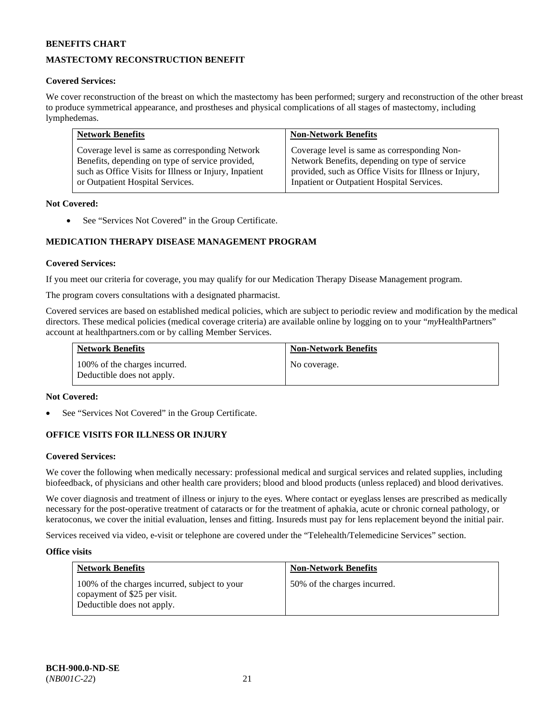# **MASTECTOMY RECONSTRUCTION BENEFIT**

# **Covered Services:**

We cover reconstruction of the breast on which the mastectomy has been performed; surgery and reconstruction of the other breast to produce symmetrical appearance, and prostheses and physical complications of all stages of mastectomy, including lymphedemas.

| <b>Network Benefits</b>                                | <b>Non-Network Benefits</b>                            |
|--------------------------------------------------------|--------------------------------------------------------|
| Coverage level is same as corresponding Network        | Coverage level is same as corresponding Non-           |
| Benefits, depending on type of service provided,       | Network Benefits, depending on type of service         |
| such as Office Visits for Illness or Injury, Inpatient | provided, such as Office Visits for Illness or Injury, |
| or Outpatient Hospital Services.                       | Inpatient or Outpatient Hospital Services.             |

### **Not Covered:**

• See "Services Not Covered" in the Group Certificate.

# **MEDICATION THERAPY DISEASE MANAGEMENT PROGRAM**

### **Covered Services:**

If you meet our criteria for coverage, you may qualify for our Medication Therapy Disease Management program.

The program covers consultations with a designated pharmacist.

Covered services are based on established medical policies, which are subject to periodic review and modification by the medical directors. These medical policies (medical coverage criteria) are available online by logging on to your "*my*HealthPartners" account a[t healthpartners.com](http://www.healthpartners.com/) or by calling Member Services.

| <b>Network Benefits</b>                                     | <b>Non-Network Benefits</b> |
|-------------------------------------------------------------|-----------------------------|
| 100% of the charges incurred.<br>Deductible does not apply. | No coverage.                |

#### **Not Covered:**

See "Services Not Covered" in the Group Certificate.

# **OFFICE VISITS FOR ILLNESS OR INJURY**

#### **Covered Services:**

We cover the following when medically necessary: professional medical and surgical services and related supplies, including biofeedback, of physicians and other health care providers; blood and blood products (unless replaced) and blood derivatives.

We cover diagnosis and treatment of illness or injury to the eyes. Where contact or eyeglass lenses are prescribed as medically necessary for the post-operative treatment of cataracts or for the treatment of aphakia, acute or chronic corneal pathology, or keratoconus, we cover the initial evaluation, lenses and fitting. Insureds must pay for lens replacement beyond the initial pair.

Services received via video, e-visit or telephone are covered under the "Telehealth/Telemedicine Services" section.

#### **Office visits**

| <b>Network Benefits</b>                                                                                     | <b>Non-Network Benefits</b>  |
|-------------------------------------------------------------------------------------------------------------|------------------------------|
| 100% of the charges incurred, subject to your<br>copayment of \$25 per visit.<br>Deductible does not apply. | 50% of the charges incurred. |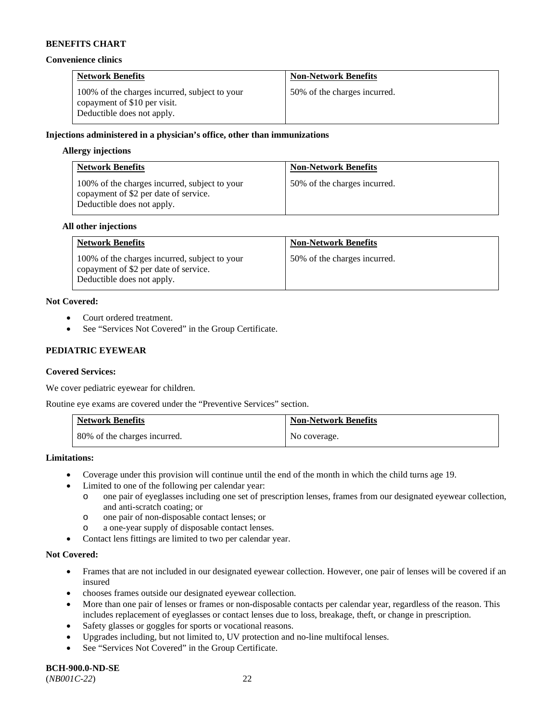#### **Convenience clinics**

| <b>Network Benefits</b>                                                                                     | <b>Non-Network Benefits</b>  |
|-------------------------------------------------------------------------------------------------------------|------------------------------|
| 100% of the charges incurred, subject to your<br>copayment of \$10 per visit.<br>Deductible does not apply. | 50% of the charges incurred. |

### **Injections administered in a physician's office, other than immunizations**

#### **Allergy injections**

| <b>Network Benefits</b>                                                                                              | <b>Non-Network Benefits</b>  |
|----------------------------------------------------------------------------------------------------------------------|------------------------------|
| 100% of the charges incurred, subject to your<br>copayment of \$2 per date of service.<br>Deductible does not apply. | 50% of the charges incurred. |

#### **All other injections**

| <b>Network Benefits</b>                                                                                              | <b>Non-Network Benefits</b>  |
|----------------------------------------------------------------------------------------------------------------------|------------------------------|
| 100% of the charges incurred, subject to your<br>copayment of \$2 per date of service.<br>Deductible does not apply. | 50% of the charges incurred. |

# **Not Covered:**

- Court ordered treatment.
- See "Services Not Covered" in the Group Certificate.

# **PEDIATRIC EYEWEAR**

# **Covered Services:**

We cover pediatric eyewear for children.

Routine eye exams are covered under the "Preventive Services" section.

| <b>Network Benefits</b>      | <b>Non-Network Benefits</b> |
|------------------------------|-----------------------------|
| 80% of the charges incurred. | No coverage.                |

#### **Limitations:**

- Coverage under this provision will continue until the end of the month in which the child turns age 19.
- Limited to one of the following per calendar year:
	- o one pair of eyeglasses including one set of prescription lenses, frames from our designated eyewear collection, and anti-scratch coating; or
	- o one pair of non-disposable contact lenses; or
	- o a one-year supply of disposable contact lenses.
- Contact lens fittings are limited to two per calendar year.

#### **Not Covered:**

- Frames that are not included in our designated eyewear collection. However, one pair of lenses will be covered if an insured
- chooses frames outside our designated eyewear collection.
- More than one pair of lenses or frames or non-disposable contacts per calendar year, regardless of the reason. This includes replacement of eyeglasses or contact lenses due to loss, breakage, theft, or change in prescription.
- Safety glasses or goggles for sports or vocational reasons.
- Upgrades including, but not limited to, UV protection and no-line multifocal lenses.
- See "Services Not Covered" in the Group Certificate.

**BCH-900.0-ND-SE** (*NB001C-22*) 22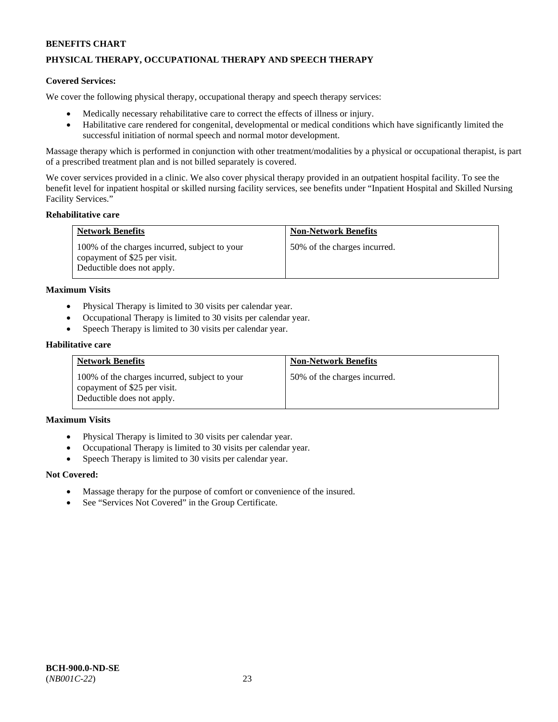# **PHYSICAL THERAPY, OCCUPATIONAL THERAPY AND SPEECH THERAPY**

#### **Covered Services:**

We cover the following physical therapy, occupational therapy and speech therapy services:

- Medically necessary rehabilitative care to correct the effects of illness or injury.
- Habilitative care rendered for congenital, developmental or medical conditions which have significantly limited the successful initiation of normal speech and normal motor development.

Massage therapy which is performed in conjunction with other treatment/modalities by a physical or occupational therapist, is part of a prescribed treatment plan and is not billed separately is covered.

We cover services provided in a clinic. We also cover physical therapy provided in an outpatient hospital facility. To see the benefit level for inpatient hospital or skilled nursing facility services, see benefits under "Inpatient Hospital and Skilled Nursing Facility Services."

#### **Rehabilitative care**

| <b>Network Benefits</b>                                                                                     | <b>Non-Network Benefits</b>  |
|-------------------------------------------------------------------------------------------------------------|------------------------------|
| 100% of the charges incurred, subject to your<br>copayment of \$25 per visit.<br>Deductible does not apply. | 50% of the charges incurred. |

#### **Maximum Visits**

- Physical Therapy is limited to 30 visits per calendar year.
- Occupational Therapy is limited to 30 visits per calendar year.
- Speech Therapy is limited to 30 visits per calendar year.

#### **Habilitative care**

| <b>Network Benefits</b>                                                                                     | <b>Non-Network Benefits</b>  |
|-------------------------------------------------------------------------------------------------------------|------------------------------|
| 100% of the charges incurred, subject to your<br>copayment of \$25 per visit.<br>Deductible does not apply. | 50% of the charges incurred. |

#### **Maximum Visits**

- Physical Therapy is limited to 30 visits per calendar year.
- Occupational Therapy is limited to 30 visits per calendar year.
- Speech Therapy is limited to 30 visits per calendar year.

#### **Not Covered:**

- Massage therapy for the purpose of comfort or convenience of the insured.
- See "Services Not Covered" in the Group Certificate.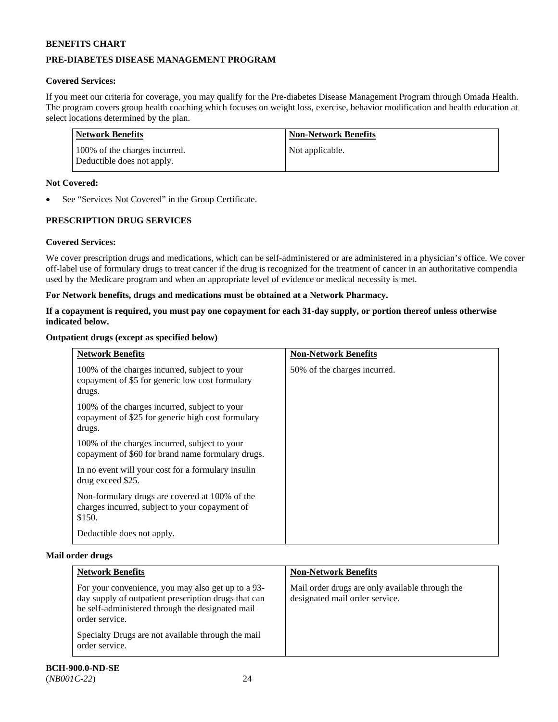# **PRE-DIABETES DISEASE MANAGEMENT PROGRAM**

# **Covered Services:**

If you meet our criteria for coverage, you may qualify for the Pre-diabetes Disease Management Program through Omada Health. The program covers group health coaching which focuses on weight loss, exercise, behavior modification and health education at select locations determined by the plan.

| Network Benefits                                            | <b>Non-Network Benefits</b> |
|-------------------------------------------------------------|-----------------------------|
| 100% of the charges incurred.<br>Deductible does not apply. | Not applicable.             |

### **Not Covered:**

See "Services Not Covered" in the Group Certificate.

# **PRESCRIPTION DRUG SERVICES**

# **Covered Services:**

We cover prescription drugs and medications, which can be self-administered or are administered in a physician's office. We cover off-label use of formulary drugs to treat cancer if the drug is recognized for the treatment of cancer in an authoritative compendia used by the Medicare program and when an appropriate level of evidence or medical necessity is met.

### **For Network benefits, drugs and medications must be obtained at a Network Pharmacy.**

# **If a copayment is required, you must pay one copayment for each 31-day supply, or portion thereof unless otherwise indicated below.**

### **Outpatient drugs (except as specified below)**

| <b>Network Benefits</b>                                                                                      | <b>Non-Network Benefits</b>  |
|--------------------------------------------------------------------------------------------------------------|------------------------------|
| 100% of the charges incurred, subject to your<br>copayment of \$5 for generic low cost formulary<br>drugs.   | 50% of the charges incurred. |
| 100% of the charges incurred, subject to your<br>copayment of \$25 for generic high cost formulary<br>drugs. |                              |
| 100% of the charges incurred, subject to your<br>copayment of \$60 for brand name formulary drugs.           |                              |
| In no event will your cost for a formulary insulin<br>drug exceed \$25.                                      |                              |
| Non-formulary drugs are covered at 100% of the<br>charges incurred, subject to your copayment of<br>\$150.   |                              |
| Deductible does not apply.                                                                                   |                              |

#### **Mail order drugs**

| <b>Network Benefits</b>                                                                                                                                                          | <b>Non-Network Benefits</b>                                                       |
|----------------------------------------------------------------------------------------------------------------------------------------------------------------------------------|-----------------------------------------------------------------------------------|
| For your convenience, you may also get up to a 93-<br>day supply of outpatient prescription drugs that can<br>be self-administered through the designated mail<br>order service. | Mail order drugs are only available through the<br>designated mail order service. |
| Specialty Drugs are not available through the mail<br>order service.                                                                                                             |                                                                                   |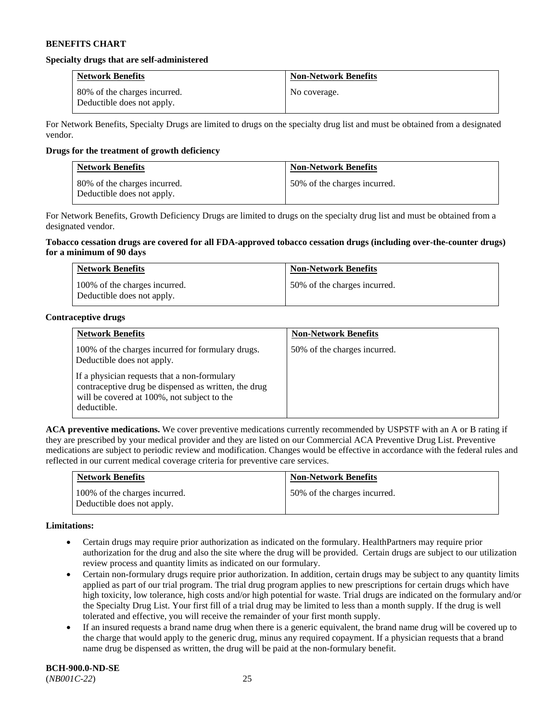#### **Specialty drugs that are self-administered**

| <b>Network Benefits</b>                                    | <b>Non-Network Benefits</b> |
|------------------------------------------------------------|-----------------------------|
| 80% of the charges incurred.<br>Deductible does not apply. | No coverage.                |

For Network Benefits, Specialty Drugs are limited to drugs on the specialty drug list and must be obtained from a designated vendor.

### **Drugs for the treatment of growth deficiency**

| <b>Network Benefits</b>                                    | <b>Non-Network Benefits</b>  |
|------------------------------------------------------------|------------------------------|
| 80% of the charges incurred.<br>Deductible does not apply. | 50% of the charges incurred. |

For Network Benefits, Growth Deficiency Drugs are limited to drugs on the specialty drug list and must be obtained from a designated vendor.

#### **Tobacco cessation drugs are covered for all FDA-approved tobacco cessation drugs (including over-the-counter drugs) for a minimum of 90 days**

| <b>Network Benefits</b>                                     | <b>Non-Network Benefits</b>  |
|-------------------------------------------------------------|------------------------------|
| 100% of the charges incurred.<br>Deductible does not apply. | 50% of the charges incurred. |

### **Contraceptive drugs**

| <b>Network Benefits</b>                                                                                                                                            | <b>Non-Network Benefits</b>  |
|--------------------------------------------------------------------------------------------------------------------------------------------------------------------|------------------------------|
| 100% of the charges incurred for formulary drugs.<br>Deductible does not apply.                                                                                    | 50% of the charges incurred. |
| If a physician requests that a non-formulary<br>contraceptive drug be dispensed as written, the drug<br>will be covered at 100%, not subject to the<br>deductible. |                              |

**ACA preventive medications.** We cover preventive medications currently recommended by USPSTF with an A or B rating if they are prescribed by your medical provider and they are listed on our Commercial ACA Preventive Drug List. Preventive medications are subject to periodic review and modification. Changes would be effective in accordance with the federal rules and reflected in our current medical coverage criteria for preventive care services.

| <b>Network Benefits</b>                                     | <b>Non-Network Benefits</b>  |
|-------------------------------------------------------------|------------------------------|
| 100% of the charges incurred.<br>Deductible does not apply. | 50% of the charges incurred. |

#### **Limitations:**

- Certain drugs may require prior authorization as indicated on the formulary. HealthPartners may require prior authorization for the drug and also the site where the drug will be provided. Certain drugs are subject to our utilization review process and quantity limits as indicated on our formulary.
- Certain non-formulary drugs require prior authorization. In addition, certain drugs may be subject to any quantity limits applied as part of our trial program. The trial drug program applies to new prescriptions for certain drugs which have high toxicity, low tolerance, high costs and/or high potential for waste. Trial drugs are indicated on the formulary and/or the Specialty Drug List. Your first fill of a trial drug may be limited to less than a month supply. If the drug is well tolerated and effective, you will receive the remainder of your first month supply.
- If an insured requests a brand name drug when there is a generic equivalent, the brand name drug will be covered up to the charge that would apply to the generic drug, minus any required copayment. If a physician requests that a brand name drug be dispensed as written, the drug will be paid at the non-formulary benefit.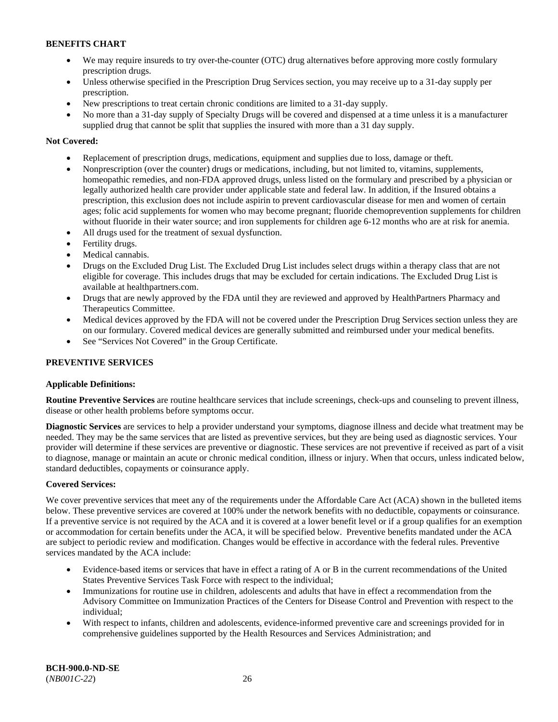- We may require insureds to try over-the-counter (OTC) drug alternatives before approving more costly formulary prescription drugs.
- Unless otherwise specified in the Prescription Drug Services section, you may receive up to a 31-day supply per prescription.
- New prescriptions to treat certain chronic conditions are limited to a 31-day supply.
- No more than a 31-day supply of Specialty Drugs will be covered and dispensed at a time unless it is a manufacturer supplied drug that cannot be split that supplies the insured with more than a 31 day supply.

# **Not Covered:**

- Replacement of prescription drugs, medications, equipment and supplies due to loss, damage or theft.
- Nonprescription (over the counter) drugs or medications, including, but not limited to, vitamins, supplements, homeopathic remedies, and non-FDA approved drugs, unless listed on the formulary and prescribed by a physician or legally authorized health care provider under applicable state and federal law. In addition, if the Insured obtains a prescription, this exclusion does not include aspirin to prevent cardiovascular disease for men and women of certain ages; folic acid supplements for women who may become pregnant; fluoride chemoprevention supplements for children without fluoride in their water source; and iron supplements for children age 6-12 months who are at risk for anemia.
- All drugs used for the treatment of sexual dysfunction.
- Fertility drugs.
- Medical cannabis.
- Drugs on the Excluded Drug List. The Excluded Drug List includes select drugs within a therapy class that are not eligible for coverage. This includes drugs that may be excluded for certain indications. The Excluded Drug List is available at [healthpartners.com.](http://www.healthpartners.com/)
- Drugs that are newly approved by the FDA until they are reviewed and approved by HealthPartners Pharmacy and Therapeutics Committee.
- Medical devices approved by the FDA will not be covered under the Prescription Drug Services section unless they are on our formulary. Covered medical devices are generally submitted and reimbursed under your medical benefits.
- See "Services Not Covered" in the Group Certificate.

# **PREVENTIVE SERVICES**

# **Applicable Definitions:**

**Routine Preventive Services** are routine healthcare services that include screenings, check-ups and counseling to prevent illness, disease or other health problems before symptoms occur.

**Diagnostic Services** are services to help a provider understand your symptoms, diagnose illness and decide what treatment may be needed. They may be the same services that are listed as preventive services, but they are being used as diagnostic services. Your provider will determine if these services are preventive or diagnostic. These services are not preventive if received as part of a visit to diagnose, manage or maintain an acute or chronic medical condition, illness or injury. When that occurs, unless indicated below, standard deductibles, copayments or coinsurance apply.

# **Covered Services:**

We cover preventive services that meet any of the requirements under the Affordable Care Act (ACA) shown in the bulleted items below. These preventive services are covered at 100% under the network benefits with no deductible, copayments or coinsurance. If a preventive service is not required by the ACA and it is covered at a lower benefit level or if a group qualifies for an exemption or accommodation for certain benefits under the ACA, it will be specified below. Preventive benefits mandated under the ACA are subject to periodic review and modification. Changes would be effective in accordance with the federal rules. Preventive services mandated by the ACA include:

- Evidence-based items or services that have in effect a rating of A or B in the current recommendations of the United States Preventive Services Task Force with respect to the individual;
- Immunizations for routine use in children, adolescents and adults that have in effect a recommendation from the Advisory Committee on Immunization Practices of the Centers for Disease Control and Prevention with respect to the individual;
- With respect to infants, children and adolescents, evidence-informed preventive care and screenings provided for in comprehensive guidelines supported by the Health Resources and Services Administration; and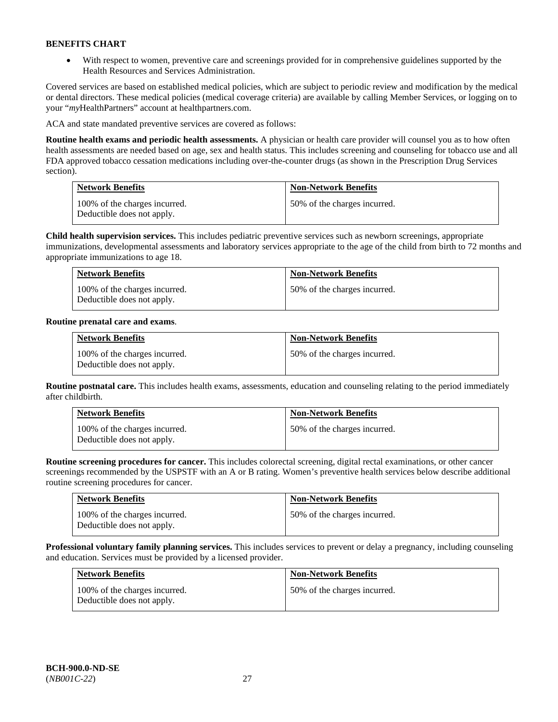• With respect to women, preventive care and screenings provided for in comprehensive guidelines supported by the Health Resources and Services Administration.

Covered services are based on established medical policies, which are subject to periodic review and modification by the medical or dental directors. These medical policies (medical coverage criteria) are available by calling Member Services, or logging on to your "*my*HealthPartners" account at [healthpartners.com.](http://www.healthpartners.com/) 

ACA and state mandated preventive services are covered as follows:

**Routine health exams and periodic health assessments.** A physician or health care provider will counsel you as to how often health assessments are needed based on age, sex and health status. This includes screening and counseling for tobacco use and all FDA approved tobacco cessation medications including over-the-counter drugs (as shown in the Prescription Drug Services section).

| <b>Network Benefits</b>                                     | <b>Non-Network Benefits</b>  |
|-------------------------------------------------------------|------------------------------|
| 100% of the charges incurred.<br>Deductible does not apply. | 50% of the charges incurred. |

**Child health supervision services.** This includes pediatric preventive services such as newborn screenings, appropriate immunizations, developmental assessments and laboratory services appropriate to the age of the child from birth to 72 months and appropriate immunizations to age 18.

| <b>Network Benefits</b>                                     | <b>Non-Network Benefits</b>  |
|-------------------------------------------------------------|------------------------------|
| 100% of the charges incurred.<br>Deductible does not apply. | 50% of the charges incurred. |

# **Routine prenatal care and exams**.

| <b>Network Benefits</b>                                     | <b>Non-Network Benefits</b>  |
|-------------------------------------------------------------|------------------------------|
| 100% of the charges incurred.<br>Deductible does not apply. | 50% of the charges incurred. |

**Routine postnatal care.** This includes health exams, assessments, education and counseling relating to the period immediately after childbirth.

| <b>Network Benefits</b>                                     | <b>Non-Network Benefits</b>  |
|-------------------------------------------------------------|------------------------------|
| 100% of the charges incurred.<br>Deductible does not apply. | 50% of the charges incurred. |

**Routine screening procedures for cancer.** This includes colorectal screening, digital rectal examinations, or other cancer screenings recommended by the USPSTF with an A or B rating. Women's preventive health services below describe additional routine screening procedures for cancer.

| <b>Network Benefits</b>                                     | <b>Non-Network Benefits</b>  |
|-------------------------------------------------------------|------------------------------|
| 100% of the charges incurred.<br>Deductible does not apply. | 50% of the charges incurred. |

**Professional voluntary family planning services.** This includes services to prevent or delay a pregnancy, including counseling and education. Services must be provided by a licensed provider.

| <b>Network Benefits</b>                                     | <b>Non-Network Benefits</b>  |
|-------------------------------------------------------------|------------------------------|
| 100% of the charges incurred.<br>Deductible does not apply. | 50% of the charges incurred. |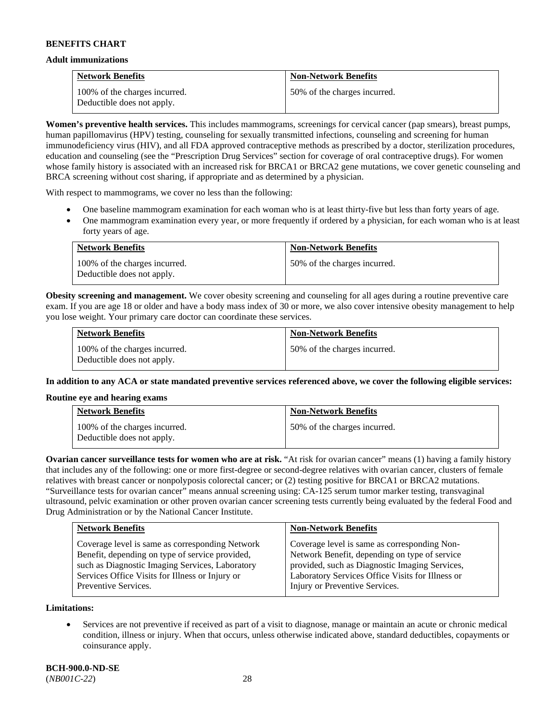#### **Adult immunizations**

| <b>Network Benefits</b>                                     | <b>Non-Network Benefits</b>  |
|-------------------------------------------------------------|------------------------------|
| 100% of the charges incurred.<br>Deductible does not apply. | 50% of the charges incurred. |

**Women's preventive health services.** This includes mammograms, screenings for cervical cancer (pap smears), breast pumps, human papillomavirus (HPV) testing, counseling for sexually transmitted infections, counseling and screening for human immunodeficiency virus (HIV), and all FDA approved contraceptive methods as prescribed by a doctor, sterilization procedures, education and counseling (see the "Prescription Drug Services" section for coverage of oral contraceptive drugs). For women whose family history is associated with an increased risk for BRCA1 or BRCA2 gene mutations, we cover genetic counseling and BRCA screening without cost sharing, if appropriate and as determined by a physician.

With respect to mammograms, we cover no less than the following:

- One baseline mammogram examination for each woman who is at least thirty-five but less than forty years of age.
- One mammogram examination every year, or more frequently if ordered by a physician, for each woman who is at least forty years of age.

| <b>Network Benefits</b>                                     | <b>Non-Network Benefits</b>  |
|-------------------------------------------------------------|------------------------------|
| 100% of the charges incurred.<br>Deductible does not apply. | 50% of the charges incurred. |

**Obesity screening and management.** We cover obesity screening and counseling for all ages during a routine preventive care exam. If you are age 18 or older and have a body mass index of 30 or more, we also cover intensive obesity management to help you lose weight. Your primary care doctor can coordinate these services.

| <b>Network Benefits</b>                                     | <b>Non-Network Benefits</b>  |
|-------------------------------------------------------------|------------------------------|
| 100% of the charges incurred.<br>Deductible does not apply. | 50% of the charges incurred. |

**In addition to any ACA or state mandated preventive services referenced above, we cover the following eligible services:**

# **Routine eye and hearing exams**

| <b>Network Benefits</b>                                     | <b>Non-Network Benefits</b>  |
|-------------------------------------------------------------|------------------------------|
| 100% of the charges incurred.<br>Deductible does not apply. | 50% of the charges incurred. |

**Ovarian cancer surveillance tests for women who are at risk.** "At risk for ovarian cancer" means (1) having a family history that includes any of the following: one or more first-degree or second-degree relatives with ovarian cancer, clusters of female relatives with breast cancer or nonpolyposis colorectal cancer; or (2) testing positive for BRCA1 or BRCA2 mutations. "Surveillance tests for ovarian cancer" means annual screening using: CA-125 serum tumor marker testing, transvaginal ultrasound, pelvic examination or other proven ovarian cancer screening tests currently being evaluated by the federal Food and Drug Administration or by the National Cancer Institute.

| <b>Network Benefits</b>                         | <b>Non-Network Benefits</b>                      |
|-------------------------------------------------|--------------------------------------------------|
| Coverage level is same as corresponding Network | Coverage level is same as corresponding Non-     |
| Benefit, depending on type of service provided, | Network Benefit, depending on type of service    |
| such as Diagnostic Imaging Services, Laboratory | provided, such as Diagnostic Imaging Services,   |
| Services Office Visits for Illness or Injury or | Laboratory Services Office Visits for Illness or |
| Preventive Services.                            | Injury or Preventive Services.                   |

**Limitations:**

• Services are not preventive if received as part of a visit to diagnose, manage or maintain an acute or chronic medical condition, illness or injury. When that occurs, unless otherwise indicated above, standard deductibles, copayments or coinsurance apply.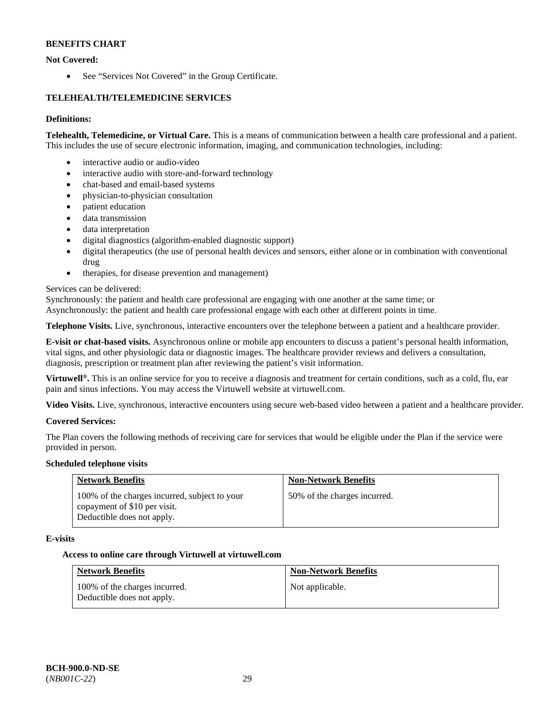# **Not Covered:**

• See "Services Not Covered" in the Group Certificate.

# **TELEHEALTH/TELEMEDICINE SERVICES**

# **Definitions:**

**Telehealth, Telemedicine, or Virtual Care.** This is a means of communication between a health care professional and a patient. This includes the use of secure electronic information, imaging, and communication technologies, including:

- interactive audio or audio-video
- interactive audio with store-and-forward technology
- chat-based and email-based systems
- physician-to-physician consultation
- patient education
- data transmission
- data interpretation
- digital diagnostics (algorithm-enabled diagnostic support)
- digital therapeutics (the use of personal health devices and sensors, either alone or in combination with conventional drug
- therapies, for disease prevention and management)

# Services can be delivered:

Synchronously: the patient and health care professional are engaging with one another at the same time; or

Asynchronously: the patient and health care professional engage with each other at different points in time.

**Telephone Visits.** Live, synchronous, interactive encounters over the telephone between a patient and a healthcare provider.

**E-visit or chat-based visits.** Asynchronous online or mobile app encounters to discuss a patient's personal health information, vital signs, and other physiologic data or diagnostic images. The healthcare provider reviews and delivers a consultation, diagnosis, prescription or treatment plan after reviewing the patient's visit information.

**Virtuwell®.** This is an online service for you to receive a diagnosis and treatment for certain conditions, such as a cold, flu, ear pain and sinus infections. You may access the Virtuwell website at [virtuwell.com.](https://www.virtuwell.com/)

**Video Visits.** Live, synchronous, interactive encounters using secure web-based video between a patient and a healthcare provider.

# **Covered Services:**

The Plan covers the following methods of receiving care for services that would be eligible under the Plan if the service were provided in person.

# **Scheduled telephone visits**

| <b>Network Benefits</b>                                                                                     | <b>Non-Network Benefits</b>  |
|-------------------------------------------------------------------------------------------------------------|------------------------------|
| 100% of the charges incurred, subject to your<br>copayment of \$10 per visit.<br>Deductible does not apply. | 50% of the charges incurred. |

# **E-visits**

# **Access to online care through Virtuwell at [virtuwell.com](https://www.virtuwell.com/)**

| <b>Network Benefits</b>                                     | <b>Non-Network Benefits</b> |
|-------------------------------------------------------------|-----------------------------|
| 100% of the charges incurred.<br>Deductible does not apply. | Not applicable.             |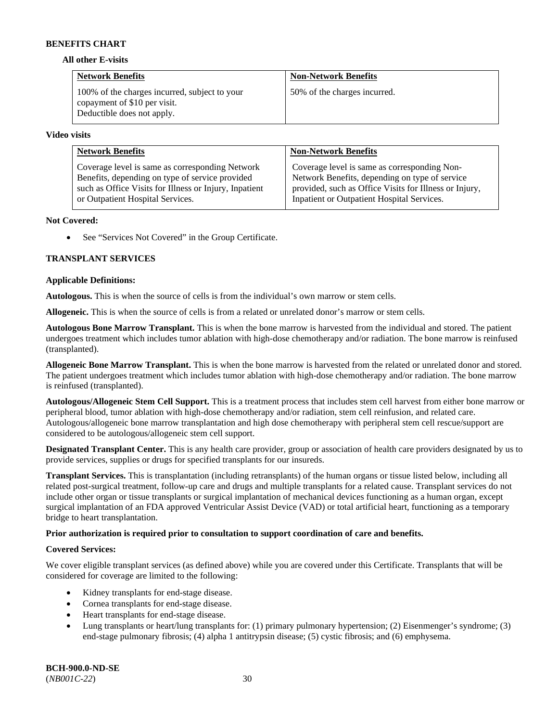#### **All other E-visits**

| <b>Network Benefits</b>                                                                                     | <b>Non-Network Benefits</b>  |
|-------------------------------------------------------------------------------------------------------------|------------------------------|
| 100% of the charges incurred, subject to your<br>copayment of \$10 per visit.<br>Deductible does not apply. | 50% of the charges incurred. |

#### **Video visits**

| <b>Network Benefits</b>                                | <b>Non-Network Benefits</b>                            |
|--------------------------------------------------------|--------------------------------------------------------|
| Coverage level is same as corresponding Network        | Coverage level is same as corresponding Non-           |
| Benefits, depending on type of service provided        | Network Benefits, depending on type of service         |
| such as Office Visits for Illness or Injury, Inpatient | provided, such as Office Visits for Illness or Injury, |
| or Outpatient Hospital Services.                       | Inpatient or Outpatient Hospital Services.             |

### **Not Covered:**

• See "Services Not Covered" in the Group Certificate.

# **TRANSPLANT SERVICES**

### **Applicable Definitions:**

**Autologous.** This is when the source of cells is from the individual's own marrow or stem cells.

**Allogeneic.** This is when the source of cells is from a related or unrelated donor's marrow or stem cells.

**Autologous Bone Marrow Transplant.** This is when the bone marrow is harvested from the individual and stored. The patient undergoes treatment which includes tumor ablation with high-dose chemotherapy and/or radiation. The bone marrow is reinfused (transplanted).

**Allogeneic Bone Marrow Transplant.** This is when the bone marrow is harvested from the related or unrelated donor and stored. The patient undergoes treatment which includes tumor ablation with high-dose chemotherapy and/or radiation. The bone marrow is reinfused (transplanted).

**Autologous/Allogeneic Stem Cell Support.** This is a treatment process that includes stem cell harvest from either bone marrow or peripheral blood, tumor ablation with high-dose chemotherapy and/or radiation, stem cell reinfusion, and related care. Autologous/allogeneic bone marrow transplantation and high dose chemotherapy with peripheral stem cell rescue/support are considered to be autologous/allogeneic stem cell support.

**Designated Transplant Center.** This is any health care provider, group or association of health care providers designated by us to provide services, supplies or drugs for specified transplants for our insureds.

**Transplant Services.** This is transplantation (including retransplants) of the human organs or tissue listed below, including all related post-surgical treatment, follow-up care and drugs and multiple transplants for a related cause. Transplant services do not include other organ or tissue transplants or surgical implantation of mechanical devices functioning as a human organ, except surgical implantation of an FDA approved Ventricular Assist Device (VAD) or total artificial heart, functioning as a temporary bridge to heart transplantation.

# **Prior authorization is required prior to consultation to support coordination of care and benefits.**

# **Covered Services:**

We cover eligible transplant services (as defined above) while you are covered under this Certificate. Transplants that will be considered for coverage are limited to the following:

- Kidney transplants for end-stage disease.
- Cornea transplants for end-stage disease.
- Heart transplants for end-stage disease.
- Lung transplants or heart/lung transplants for: (1) primary pulmonary hypertension; (2) Eisenmenger's syndrome; (3) end-stage pulmonary fibrosis; (4) alpha 1 antitrypsin disease; (5) cystic fibrosis; and (6) emphysema.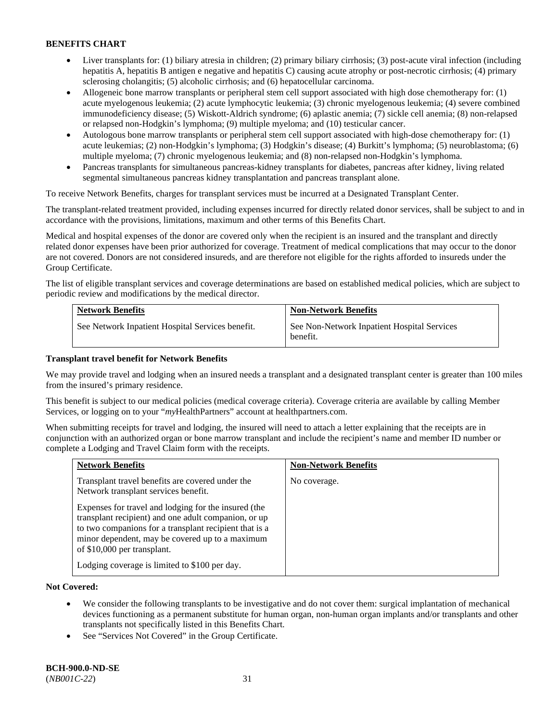- Liver transplants for: (1) biliary atresia in children; (2) primary biliary cirrhosis; (3) post-acute viral infection (including hepatitis A, hepatitis B antigen e negative and hepatitis C) causing acute atrophy or post-necrotic cirrhosis; (4) primary sclerosing cholangitis; (5) alcoholic cirrhosis; and (6) hepatocellular carcinoma.
- Allogeneic bone marrow transplants or peripheral stem cell support associated with high dose chemotherapy for: (1) acute myelogenous leukemia; (2) acute lymphocytic leukemia; (3) chronic myelogenous leukemia; (4) severe combined immunodeficiency disease; (5) Wiskott-Aldrich syndrome; (6) aplastic anemia; (7) sickle cell anemia; (8) non-relapsed or relapsed non-Hodgkin's lymphoma; (9) multiple myeloma; and (10) testicular cancer.
- Autologous bone marrow transplants or peripheral stem cell support associated with high-dose chemotherapy for: (1) acute leukemias; (2) non-Hodgkin's lymphoma; (3) Hodgkin's disease; (4) Burkitt's lymphoma; (5) neuroblastoma; (6) multiple myeloma; (7) chronic myelogenous leukemia; and (8) non-relapsed non-Hodgkin's lymphoma.
- Pancreas transplants for simultaneous pancreas-kidney transplants for diabetes, pancreas after kidney, living related segmental simultaneous pancreas kidney transplantation and pancreas transplant alone.

To receive Network Benefits, charges for transplant services must be incurred at a Designated Transplant Center.

The transplant-related treatment provided, including expenses incurred for directly related donor services, shall be subject to and in accordance with the provisions, limitations, maximum and other terms of this Benefits Chart.

Medical and hospital expenses of the donor are covered only when the recipient is an insured and the transplant and directly related donor expenses have been prior authorized for coverage. Treatment of medical complications that may occur to the donor are not covered. Donors are not considered insureds, and are therefore not eligible for the rights afforded to insureds under the Group Certificate.

The list of eligible transplant services and coverage determinations are based on established medical policies, which are subject to periodic review and modifications by the medical director.

| <b>Network Benefits</b>                          | <b>Non-Network Benefits</b>                             |
|--------------------------------------------------|---------------------------------------------------------|
| See Network Inpatient Hospital Services benefit. | See Non-Network Inpatient Hospital Services<br>benefit. |

# **Transplant travel benefit for Network Benefits**

We may provide travel and lodging when an insured needs a transplant and a designated transplant center is greater than 100 miles from the insured's primary residence.

This benefit is subject to our medical policies (medical coverage criteria). Coverage criteria are available by calling Member Services, or logging on to your "*my*HealthPartners" account a[t healthpartners.com.](http://healthpartners.com/)

When submitting receipts for travel and lodging, the insured will need to attach a letter explaining that the receipts are in conjunction with an authorized organ or bone marrow transplant and include the recipient's name and member ID number or complete a Lodging and Travel Claim form with the receipts.

| <b>Network Benefits</b>                                                                                                                                                                                                                                  | <b>Non-Network Benefits</b> |
|----------------------------------------------------------------------------------------------------------------------------------------------------------------------------------------------------------------------------------------------------------|-----------------------------|
| Transplant travel benefits are covered under the<br>Network transplant services benefit.                                                                                                                                                                 | No coverage.                |
| Expenses for travel and lodging for the insured (the<br>transplant recipient) and one adult companion, or up<br>to two companions for a transplant recipient that is a<br>minor dependent, may be covered up to a maximum<br>of \$10,000 per transplant. |                             |
| Lodging coverage is limited to \$100 per day.                                                                                                                                                                                                            |                             |

# **Not Covered:**

- We consider the following transplants to be investigative and do not cover them: surgical implantation of mechanical devices functioning as a permanent substitute for human organ, non-human organ implants and/or transplants and other transplants not specifically listed in this Benefits Chart.
- See "Services Not Covered" in the Group Certificate.